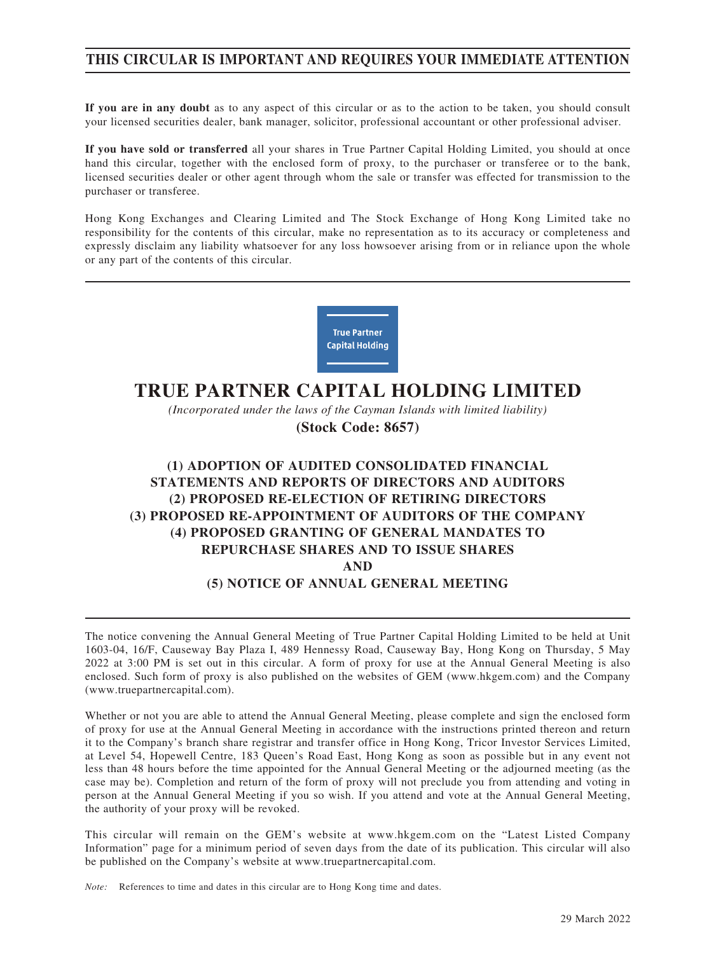## **THIS CIRCULAR IS IMPORTANT AND REQUIRES YOUR IMMEDIATE ATTENTION**

**If you are in any doubt** as to any aspect of this circular or as to the action to be taken, you should consult your licensed securities dealer, bank manager, solicitor, professional accountant or other professional adviser.

**If you have sold or transferred** all your shares in True Partner Capital Holding Limited, you should at once hand this circular, together with the enclosed form of proxy, to the purchaser or transferee or to the bank, licensed securities dealer or other agent through whom the sale or transfer was effected for transmission to the purchaser or transferee.

Hong Kong Exchanges and Clearing Limited and The Stock Exchange of Hong Kong Limited take no responsibility for the contents of this circular, make no representation as to its accuracy or completeness and expressly disclaim any liability whatsoever for any loss howsoever arising from or in reliance upon the whole or any part of the contents of this circular.



# **TRUE PARTNER CAPITAL HOLDING LIMITED**

*(Incorporated under the laws of the Cayman Islands with limited liability)* **(Stock Code: 8657)**

## **(1) ADOPTION OF AUDITED CONSOLIDATED FINANCIAL STATEMENTS AND REPORTS OF DIRECTORS AND AUDITORS (2) PROPOSED RE-ELECTION OF RETIRING DIRECTORS (3) PROPOSED RE-APPOINTMENT OF AUDITORS OF THE COMPANY (4) PROPOSED GRANTING OF GENERAL MANDATES TO REPURCHASE SHARES AND TO ISSUE SHARES AND**

## **(5) NOTICE OF ANNUAL GENERAL MEETING**

The notice convening the Annual General Meeting of True Partner Capital Holding Limited to be held at Unit 1603-04, 16/F, Causeway Bay Plaza I, 489 Hennessy Road, Causeway Bay, Hong Kong on Thursday, 5 May 2022 at 3:00 PM is set out in this circular. A form of proxy for use at the Annual General Meeting is also enclosed. Such form of proxy is also published on the websites of GEM (www.hkgem.com) and the Company (www.truepartnercapital.com).

Whether or not you are able to attend the Annual General Meeting, please complete and sign the enclosed form of proxy for use at the Annual General Meeting in accordance with the instructions printed thereon and return it to the Company's branch share registrar and transfer office in Hong Kong, Tricor Investor Services Limited, at Level 54, Hopewell Centre, 183 Queen's Road East, Hong Kong as soon as possible but in any event not less than 48 hours before the time appointed for the Annual General Meeting or the adjourned meeting (as the case may be). Completion and return of the form of proxy will not preclude you from attending and voting in person at the Annual General Meeting if you so wish. If you attend and vote at the Annual General Meeting, the authority of your proxy will be revoked.

This circular will remain on the GEM's website at www.hkgem.com on the "Latest Listed Company Information" page for a minimum period of seven days from the date of its publication. This circular will also be published on the Company's website at www.truepartnercapital.com.

*Note:* References to time and dates in this circular are to Hong Kong time and dates.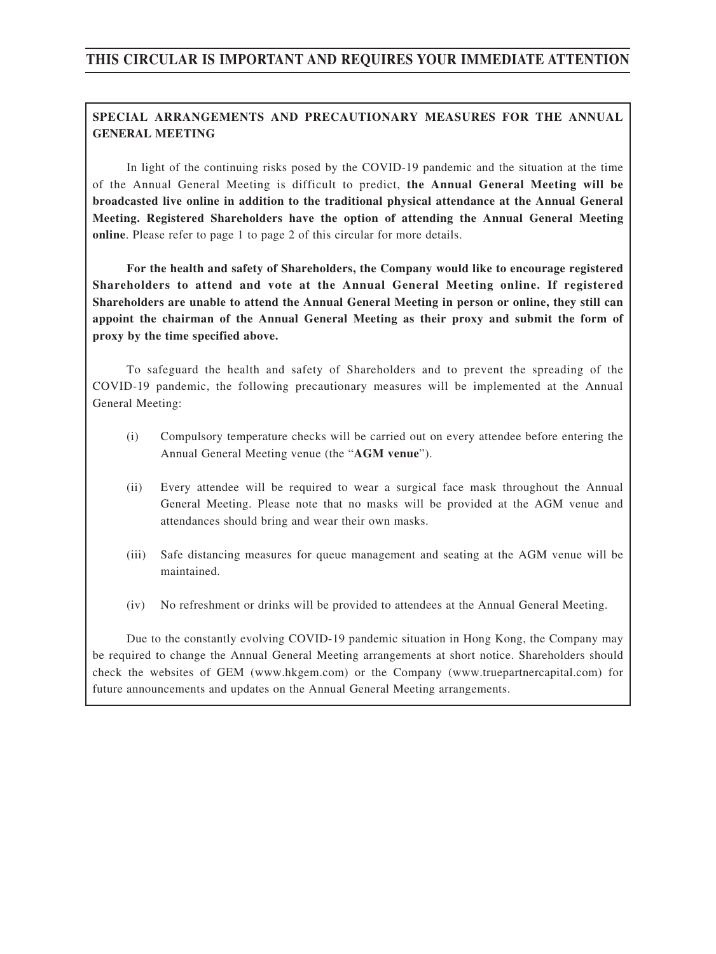## **THIS CIRCULAR IS IMPORTANT AND REQUIRES YOUR IMMEDIATE ATTENTION**

## **SPECIAL ARRANGEMENTS AND PRECAUTIONARY MEASURES FOR THE ANNUAL GENERAL MEETING**

In light of the continuing risks posed by the COVID-19 pandemic and the situation at the time of the Annual General Meeting is difficult to predict, **the Annual General Meeting will be broadcasted live online in addition to the traditional physical attendance at the Annual General Meeting. Registered Shareholders have the option of attending the Annual General Meeting online**. Please refer to page 1 to page 2 of this circular for more details.

**For the health and safety of Shareholders, the Company would like to encourage registered Shareholders to attend and vote at the Annual General Meeting online. If registered Shareholders are unable to attend the Annual General Meeting in person or online, they still can appoint the chairman of the Annual General Meeting as their proxy and submit the form of proxy by the time specified above.**

To safeguard the health and safety of Shareholders and to prevent the spreading of the COVID-19 pandemic, the following precautionary measures will be implemented at the Annual General Meeting:

- (i) Compulsory temperature checks will be carried out on every attendee before entering the Annual General Meeting venue (the "**AGM venue**").
- (ii) Every attendee will be required to wear a surgical face mask throughout the Annual General Meeting. Please note that no masks will be provided at the AGM venue and attendances should bring and wear their own masks.
- (iii) Safe distancing measures for queue management and seating at the AGM venue will be maintained.
- (iv) No refreshment or drinks will be provided to attendees at the Annual General Meeting.

Due to the constantly evolving COVID-19 pandemic situation in Hong Kong, the Company may be required to change the Annual General Meeting arrangements at short notice. Shareholders should check the websites of GEM (www.hkgem.com) or the Company (www.truepartnercapital.com) for future announcements and updates on the Annual General Meeting arrangements.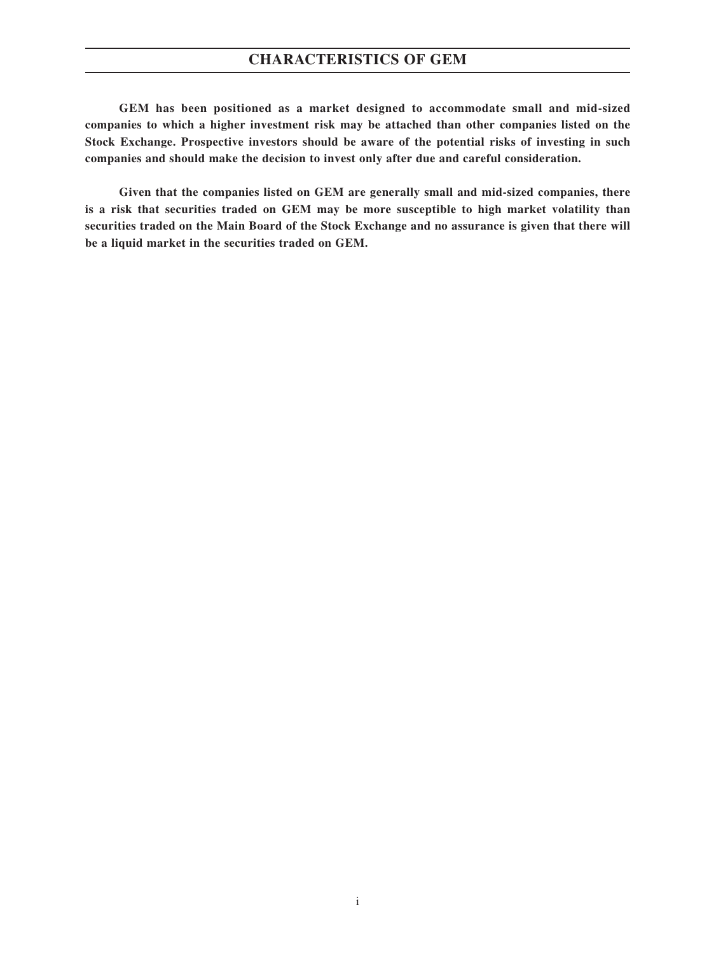## **CHARACTERISTICS OF GEM**

**GEM has been positioned as a market designed to accommodate small and mid-sized companies to which a higher investment risk may be attached than other companies listed on the Stock Exchange. Prospective investors should be aware of the potential risks of investing in such companies and should make the decision to invest only after due and careful consideration.**

**Given that the companies listed on GEM are generally small and mid-sized companies, there is a risk that securities traded on GEM may be more susceptible to high market volatility than securities traded on the Main Board of the Stock Exchange and no assurance is given that there will be a liquid market in the securities traded on GEM.**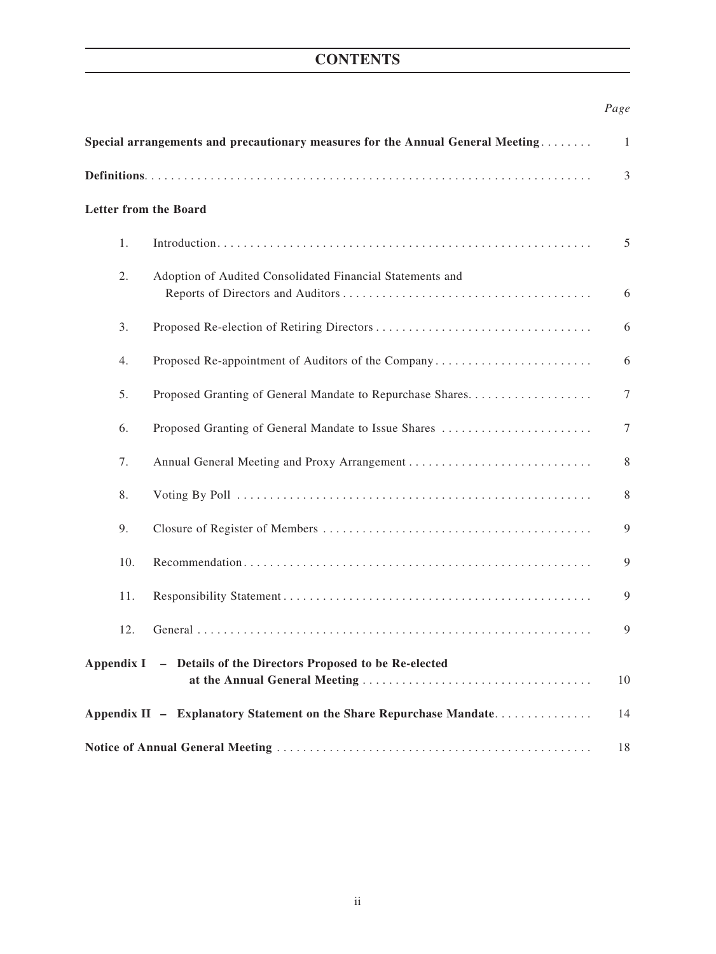# **CONTENTS**

## *Page*

| Special arrangements and precautionary measures for the Annual General Meeting |                                                                     |                |  |  |
|--------------------------------------------------------------------------------|---------------------------------------------------------------------|----------------|--|--|
|                                                                                |                                                                     | $\mathfrak{Z}$ |  |  |
| <b>Letter from the Board</b>                                                   |                                                                     |                |  |  |
| 1.                                                                             |                                                                     | 5              |  |  |
| 2.                                                                             | Adoption of Audited Consolidated Financial Statements and           | 6              |  |  |
| 3.                                                                             |                                                                     | 6              |  |  |
| 4.                                                                             | Proposed Re-appointment of Auditors of the Company                  | 6              |  |  |
| 5.                                                                             |                                                                     | $\tau$         |  |  |
| 6.                                                                             | Proposed Granting of General Mandate to Issue Shares                | 7              |  |  |
| 7.                                                                             |                                                                     | $8\,$          |  |  |
| 8.                                                                             |                                                                     | $8\,$          |  |  |
| 9.                                                                             |                                                                     | 9              |  |  |
| 10.                                                                            |                                                                     | 9              |  |  |
| 11.                                                                            |                                                                     | 9              |  |  |
| 12.                                                                            |                                                                     | 9              |  |  |
|                                                                                | Appendix I - Details of the Directors Proposed to be Re-elected     | 10             |  |  |
|                                                                                | Appendix II - Explanatory Statement on the Share Repurchase Mandate | 14             |  |  |
| 18                                                                             |                                                                     |                |  |  |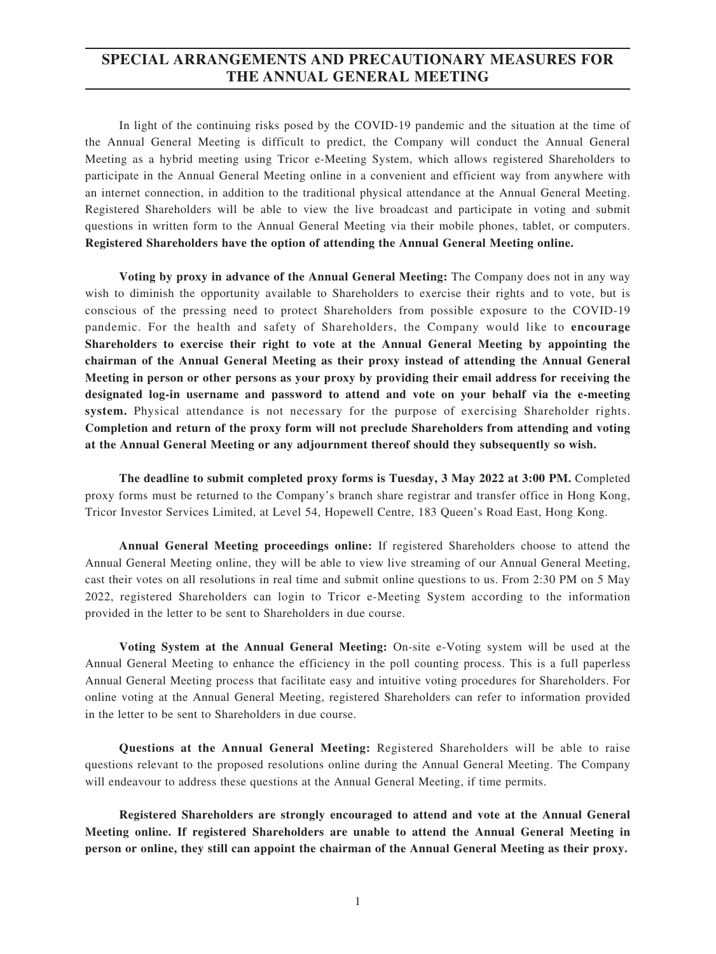## **SPECIAL ARRANGEMENTS AND PRECAUTIONARY MEASURES FOR THE ANNUAL GENERAL MEETING**

In light of the continuing risks posed by the COVID-19 pandemic and the situation at the time of the Annual General Meeting is difficult to predict, the Company will conduct the Annual General Meeting as a hybrid meeting using Tricor e-Meeting System, which allows registered Shareholders to participate in the Annual General Meeting online in a convenient and efficient way from anywhere with an internet connection, in addition to the traditional physical attendance at the Annual General Meeting. Registered Shareholders will be able to view the live broadcast and participate in voting and submit questions in written form to the Annual General Meeting via their mobile phones, tablet, or computers. **Registered Shareholders have the option of attending the Annual General Meeting online.**

**Voting by proxy in advance of the Annual General Meeting:** The Company does not in any way wish to diminish the opportunity available to Shareholders to exercise their rights and to vote, but is conscious of the pressing need to protect Shareholders from possible exposure to the COVID-19 pandemic. For the health and safety of Shareholders, the Company would like to **encourage Shareholders to exercise their right to vote at the Annual General Meeting by appointing the chairman of the Annual General Meeting as their proxy instead of attending the Annual General Meeting in person or other persons as your proxy by providing their email address for receiving the designated log-in username and password to attend and vote on your behalf via the e-meeting system.** Physical attendance is not necessary for the purpose of exercising Shareholder rights. **Completion and return of the proxy form will not preclude Shareholders from attending and voting at the Annual General Meeting or any adjournment thereof should they subsequently so wish.**

**The deadline to submit completed proxy forms is Tuesday, 3 May 2022 at 3:00 PM.** Completed proxy forms must be returned to the Company's branch share registrar and transfer office in Hong Kong, Tricor Investor Services Limited, at Level 54, Hopewell Centre, 183 Queen's Road East, Hong Kong.

**Annual General Meeting proceedings online:** If registered Shareholders choose to attend the Annual General Meeting online, they will be able to view live streaming of our Annual General Meeting, cast their votes on all resolutions in real time and submit online questions to us. From 2:30 PM on 5 May 2022, registered Shareholders can login to Tricor e-Meeting System according to the information provided in the letter to be sent to Shareholders in due course.

**Voting System at the Annual General Meeting:** On-site e-Voting system will be used at the Annual General Meeting to enhance the efficiency in the poll counting process. This is a full paperless Annual General Meeting process that facilitate easy and intuitive voting procedures for Shareholders. For online voting at the Annual General Meeting, registered Shareholders can refer to information provided in the letter to be sent to Shareholders in due course.

**Questions at the Annual General Meeting:** Registered Shareholders will be able to raise questions relevant to the proposed resolutions online during the Annual General Meeting. The Company will endeavour to address these questions at the Annual General Meeting, if time permits.

**Registered Shareholders are strongly encouraged to attend and vote at the Annual General Meeting online. If registered Shareholders are unable to attend the Annual General Meeting in person or online, they still can appoint the chairman of the Annual General Meeting as their proxy.**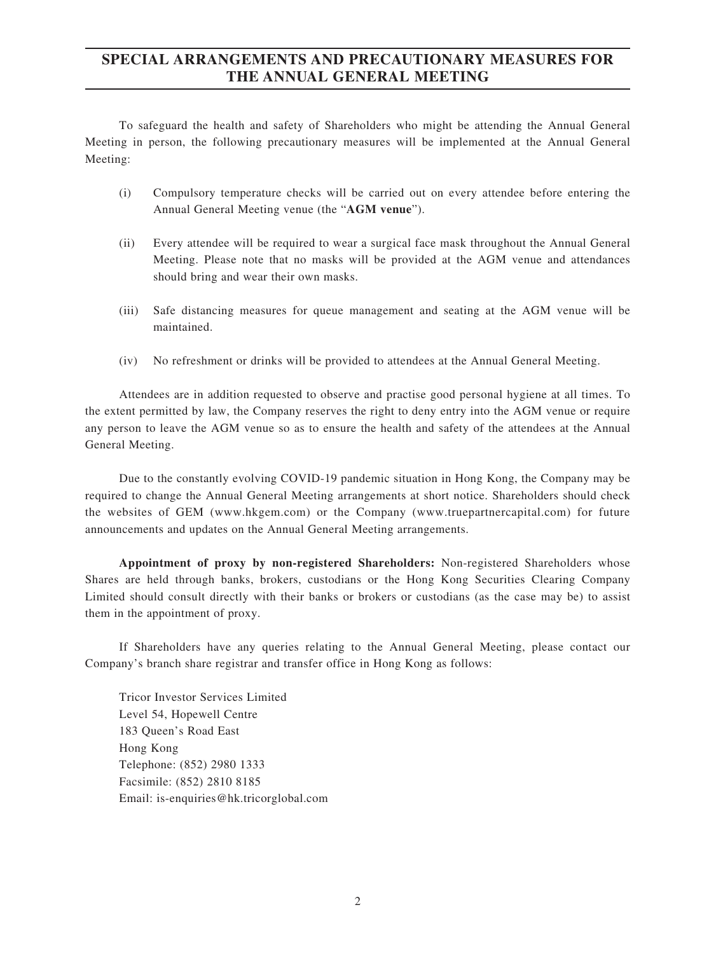## **SPECIAL ARRANGEMENTS AND PRECAUTIONARY MEASURES FOR THE ANNUAL GENERAL MEETING**

To safeguard the health and safety of Shareholders who might be attending the Annual General Meeting in person, the following precautionary measures will be implemented at the Annual General Meeting:

- (i) Compulsory temperature checks will be carried out on every attendee before entering the Annual General Meeting venue (the "**AGM venue**").
- (ii) Every attendee will be required to wear a surgical face mask throughout the Annual General Meeting. Please note that no masks will be provided at the AGM venue and attendances should bring and wear their own masks.
- (iii) Safe distancing measures for queue management and seating at the AGM venue will be maintained.
- (iv) No refreshment or drinks will be provided to attendees at the Annual General Meeting.

Attendees are in addition requested to observe and practise good personal hygiene at all times. To the extent permitted by law, the Company reserves the right to deny entry into the AGM venue or require any person to leave the AGM venue so as to ensure the health and safety of the attendees at the Annual General Meeting.

Due to the constantly evolving COVID-19 pandemic situation in Hong Kong, the Company may be required to change the Annual General Meeting arrangements at short notice. Shareholders should check the websites of GEM (www.hkgem.com) or the Company (www.truepartnercapital.com) for future announcements and updates on the Annual General Meeting arrangements.

**Appointment of proxy by non-registered Shareholders:** Non-registered Shareholders whose Shares are held through banks, brokers, custodians or the Hong Kong Securities Clearing Company Limited should consult directly with their banks or brokers or custodians (as the case may be) to assist them in the appointment of proxy.

If Shareholders have any queries relating to the Annual General Meeting, please contact our Company's branch share registrar and transfer office in Hong Kong as follows:

Tricor Investor Services Limited Level 54, Hopewell Centre 183 Queen's Road East Hong Kong Telephone: (852) 2980 1333 Facsimile: (852) 2810 8185 Email: is-enquiries@hk.tricorglobal.com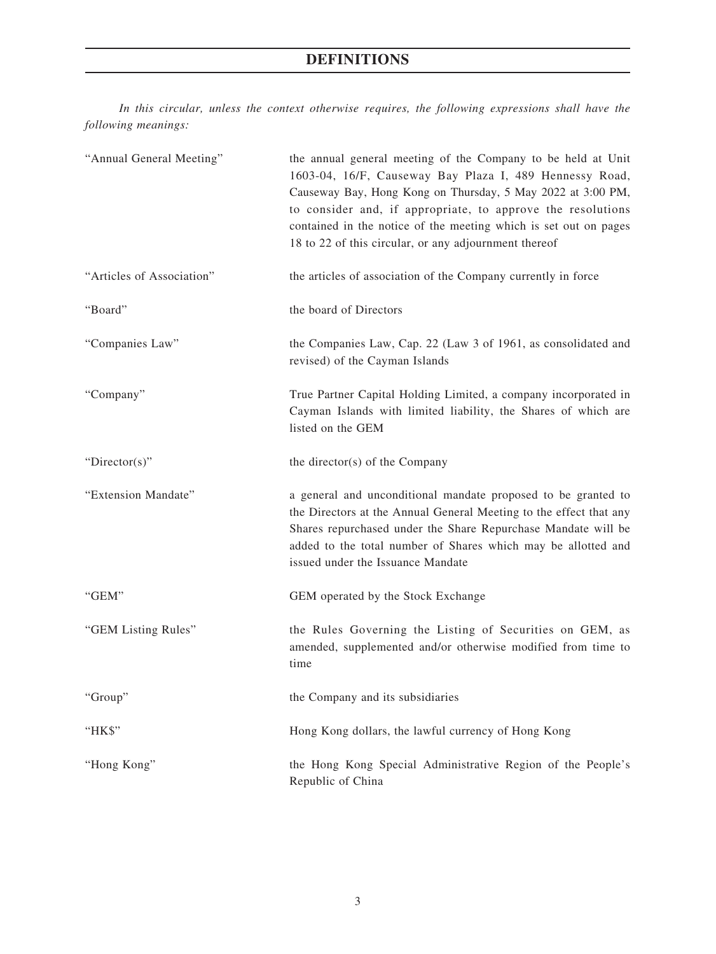*In this circular, unless the context otherwise requires, the following expressions shall have the following meanings:*

| "Annual General Meeting"  | the annual general meeting of the Company to be held at Unit<br>1603-04, 16/F, Causeway Bay Plaza I, 489 Hennessy Road,<br>Causeway Bay, Hong Kong on Thursday, 5 May 2022 at 3:00 PM,<br>to consider and, if appropriate, to approve the resolutions<br>contained in the notice of the meeting which is set out on pages<br>18 to 22 of this circular, or any adjournment thereof |
|---------------------------|------------------------------------------------------------------------------------------------------------------------------------------------------------------------------------------------------------------------------------------------------------------------------------------------------------------------------------------------------------------------------------|
| "Articles of Association" | the articles of association of the Company currently in force                                                                                                                                                                                                                                                                                                                      |
| "Board"                   | the board of Directors                                                                                                                                                                                                                                                                                                                                                             |
| "Companies Law"           | the Companies Law, Cap. 22 (Law 3 of 1961, as consolidated and<br>revised) of the Cayman Islands                                                                                                                                                                                                                                                                                   |
| "Company"                 | True Partner Capital Holding Limited, a company incorporated in<br>Cayman Islands with limited liability, the Shares of which are<br>listed on the GEM                                                                                                                                                                                                                             |
| " $Directory$ "           | the director(s) of the Company                                                                                                                                                                                                                                                                                                                                                     |
| "Extension Mandate"       | a general and unconditional mandate proposed to be granted to<br>the Directors at the Annual General Meeting to the effect that any<br>Shares repurchased under the Share Repurchase Mandate will be<br>added to the total number of Shares which may be allotted and<br>issued under the Issuance Mandate                                                                         |
| "GEM"                     | GEM operated by the Stock Exchange                                                                                                                                                                                                                                                                                                                                                 |
| "GEM Listing Rules"       | the Rules Governing the Listing of Securities on GEM, as<br>amended, supplemented and/or otherwise modified from time to<br>time                                                                                                                                                                                                                                                   |
| "Group"                   | the Company and its subsidiaries                                                                                                                                                                                                                                                                                                                                                   |
| "HK\$"                    | Hong Kong dollars, the lawful currency of Hong Kong                                                                                                                                                                                                                                                                                                                                |
| "Hong Kong"               | the Hong Kong Special Administrative Region of the People's<br>Republic of China                                                                                                                                                                                                                                                                                                   |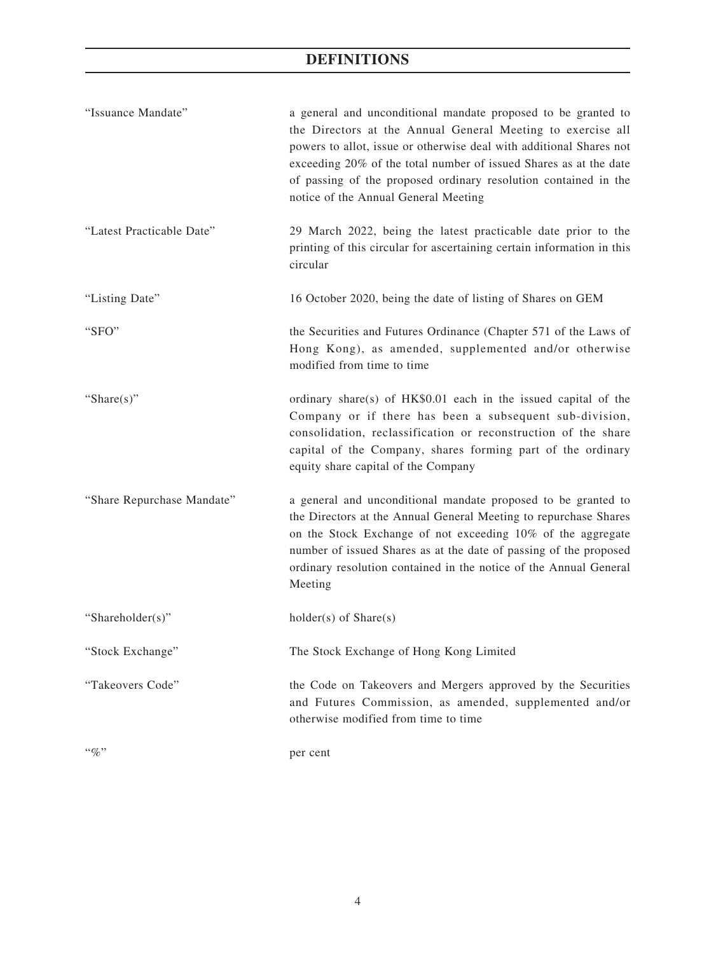# **DEFINITIONS**

| "Issuance Mandate"         | a general and unconditional mandate proposed to be granted to<br>the Directors at the Annual General Meeting to exercise all<br>powers to allot, issue or otherwise deal with additional Shares not<br>exceeding 20% of the total number of issued Shares as at the date<br>of passing of the proposed ordinary resolution contained in the<br>notice of the Annual General Meeting |
|----------------------------|-------------------------------------------------------------------------------------------------------------------------------------------------------------------------------------------------------------------------------------------------------------------------------------------------------------------------------------------------------------------------------------|
| "Latest Practicable Date"  | 29 March 2022, being the latest practicable date prior to the<br>printing of this circular for ascertaining certain information in this<br>circular                                                                                                                                                                                                                                 |
| "Listing Date"             | 16 October 2020, being the date of listing of Shares on GEM                                                                                                                                                                                                                                                                                                                         |
| "SFO"                      | the Securities and Futures Ordinance (Chapter 571 of the Laws of<br>Hong Kong), as amended, supplemented and/or otherwise<br>modified from time to time                                                                                                                                                                                                                             |
| "Share(s)"                 | ordinary share(s) of HK\$0.01 each in the issued capital of the<br>Company or if there has been a subsequent sub-division,<br>consolidation, reclassification or reconstruction of the share<br>capital of the Company, shares forming part of the ordinary<br>equity share capital of the Company                                                                                  |
| "Share Repurchase Mandate" | a general and unconditional mandate proposed to be granted to<br>the Directors at the Annual General Meeting to repurchase Shares<br>on the Stock Exchange of not exceeding 10% of the aggregate<br>number of issued Shares as at the date of passing of the proposed<br>ordinary resolution contained in the notice of the Annual General<br>Meeting                               |
| "Shareholder(s)"           | $holder(s)$ of $Share(s)$                                                                                                                                                                                                                                                                                                                                                           |
| 'Stock Exchange"           | The Stock Exchange of Hong Kong Limited                                                                                                                                                                                                                                                                                                                                             |
| "Takeovers Code"           | the Code on Takeovers and Mergers approved by the Securities<br>and Futures Commission, as amended, supplemented and/or<br>otherwise modified from time to time                                                                                                                                                                                                                     |
| $``\%"$                    | per cent                                                                                                                                                                                                                                                                                                                                                                            |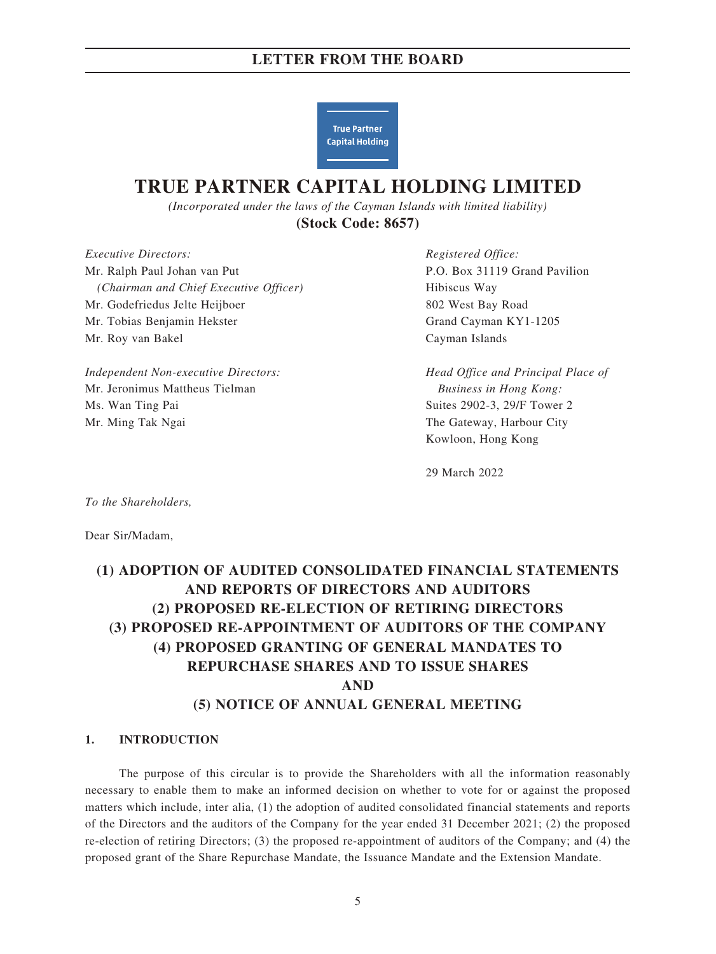

# **TRUE PARTNER CAPITAL HOLDING LIMITED**

*(Incorporated under the laws of the Cayman Islands with limited liability)* **(Stock Code: 8657)**

*Executive Directors:* Mr. Ralph Paul Johan van Put *(Chairman and Chief Executive Officer)* Mr. Godefriedus Jelte Heijboer Mr. Tobias Benjamin Hekster Mr. Roy van Bakel

*Independent Non-executive Directors:* Mr. Jeronimus Mattheus Tielman Ms. Wan Ting Pai Mr. Ming Tak Ngai

*Registered Office:* P.O. Box 31119 Grand Pavilion Hibiscus Way 802 West Bay Road Grand Cayman KY1-1205 Cayman Islands

*Head Office and Principal Place of Business in Hong Kong:* Suites 2902-3, 29/F Tower 2 The Gateway, Harbour City Kowloon, Hong Kong

29 March 2022

*To the Shareholders,*

Dear Sir/Madam,

# **(1) ADOPTION OF AUDITED CONSOLIDATED FINANCIAL STATEMENTS AND REPORTS OF DIRECTORS AND AUDITORS (2) PROPOSED RE-ELECTION OF RETIRING DIRECTORS (3) PROPOSED RE-APPOINTMENT OF AUDITORS OF THE COMPANY (4) PROPOSED GRANTING OF GENERAL MANDATES TO REPURCHASE SHARES AND TO ISSUE SHARES AND (5) NOTICE OF ANNUAL GENERAL MEETING**

### **1. INTRODUCTION**

The purpose of this circular is to provide the Shareholders with all the information reasonably necessary to enable them to make an informed decision on whether to vote for or against the proposed matters which include, inter alia, (1) the adoption of audited consolidated financial statements and reports of the Directors and the auditors of the Company for the year ended 31 December 2021; (2) the proposed re-election of retiring Directors; (3) the proposed re-appointment of auditors of the Company; and (4) the proposed grant of the Share Repurchase Mandate, the Issuance Mandate and the Extension Mandate.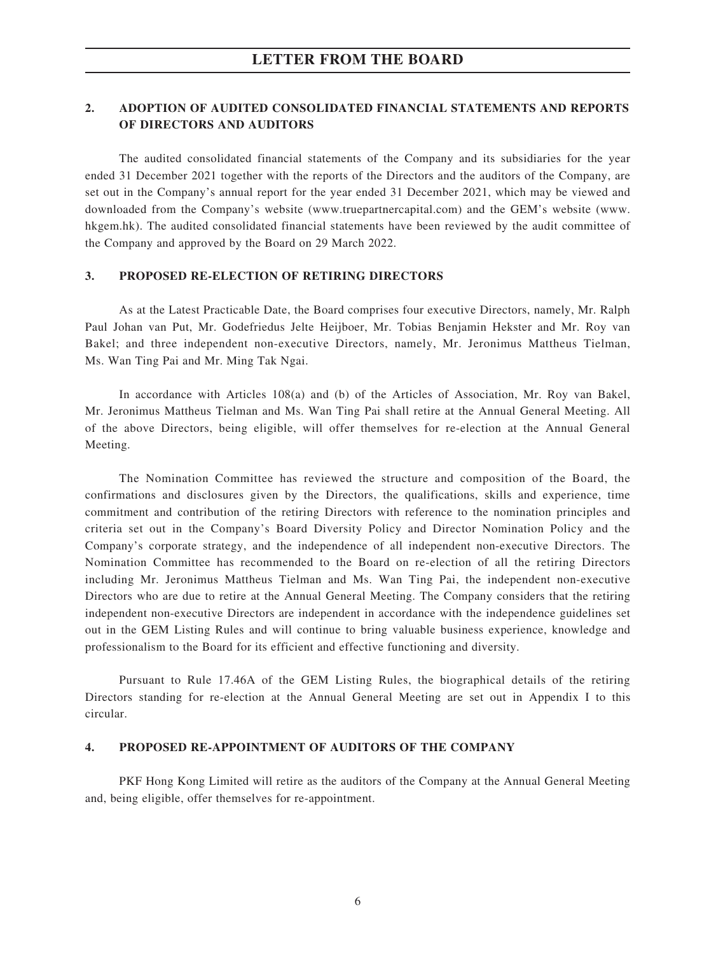## **2. ADOPTION OF AUDITED CONSOLIDATED FINANCIAL STATEMENTS AND REPORTS OF DIRECTORS AND AUDITORS**

The audited consolidated financial statements of the Company and its subsidiaries for the year ended 31 December 2021 together with the reports of the Directors and the auditors of the Company, are set out in the Company's annual report for the year ended 31 December 2021, which may be viewed and downloaded from the Company's website (www.truepartnercapital.com) and the GEM's website (www. hkgem.hk). The audited consolidated financial statements have been reviewed by the audit committee of the Company and approved by the Board on 29 March 2022.

### **3. PROPOSED RE-ELECTION OF RETIRING DIRECTORS**

As at the Latest Practicable Date, the Board comprises four executive Directors, namely, Mr. Ralph Paul Johan van Put, Mr. Godefriedus Jelte Heijboer, Mr. Tobias Benjamin Hekster and Mr. Roy van Bakel; and three independent non-executive Directors, namely, Mr. Jeronimus Mattheus Tielman, Ms. Wan Ting Pai and Mr. Ming Tak Ngai.

In accordance with Articles 108(a) and (b) of the Articles of Association, Mr. Roy van Bakel, Mr. Jeronimus Mattheus Tielman and Ms. Wan Ting Pai shall retire at the Annual General Meeting. All of the above Directors, being eligible, will offer themselves for re-election at the Annual General Meeting.

The Nomination Committee has reviewed the structure and composition of the Board, the confirmations and disclosures given by the Directors, the qualifications, skills and experience, time commitment and contribution of the retiring Directors with reference to the nomination principles and criteria set out in the Company's Board Diversity Policy and Director Nomination Policy and the Company's corporate strategy, and the independence of all independent non-executive Directors. The Nomination Committee has recommended to the Board on re-election of all the retiring Directors including Mr. Jeronimus Mattheus Tielman and Ms. Wan Ting Pai, the independent non-executive Directors who are due to retire at the Annual General Meeting. The Company considers that the retiring independent non-executive Directors are independent in accordance with the independence guidelines set out in the GEM Listing Rules and will continue to bring valuable business experience, knowledge and professionalism to the Board for its efficient and effective functioning and diversity.

Pursuant to Rule 17.46A of the GEM Listing Rules, the biographical details of the retiring Directors standing for re-election at the Annual General Meeting are set out in Appendix I to this circular.

### **4. PROPOSED RE-APPOINTMENT OF AUDITORS OF THE COMPANY**

PKF Hong Kong Limited will retire as the auditors of the Company at the Annual General Meeting and, being eligible, offer themselves for re-appointment.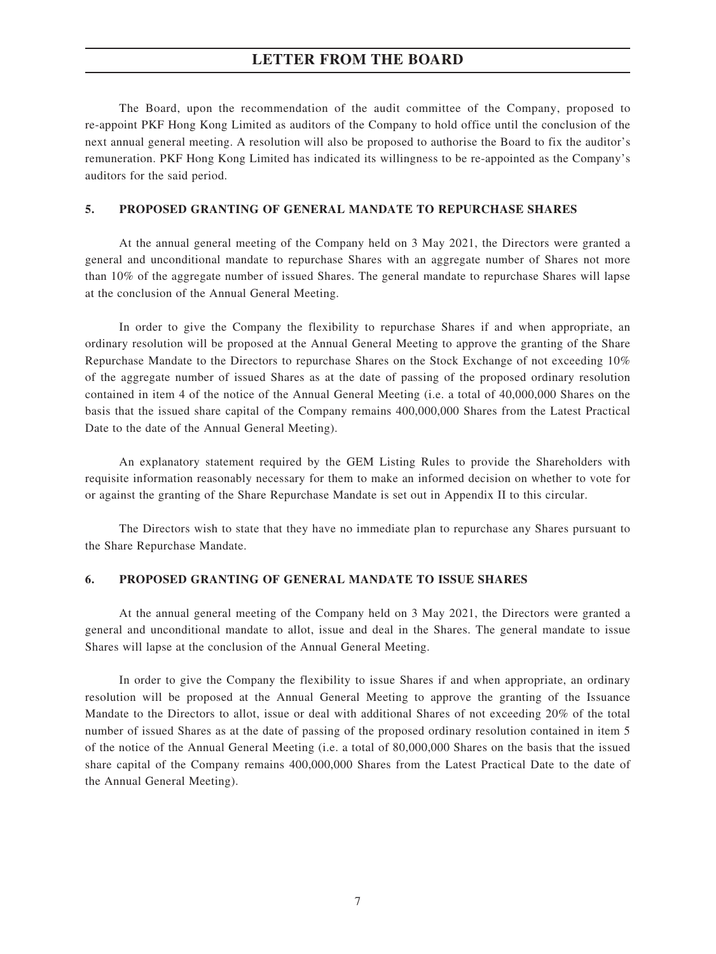The Board, upon the recommendation of the audit committee of the Company, proposed to re-appoint PKF Hong Kong Limited as auditors of the Company to hold office until the conclusion of the next annual general meeting. A resolution will also be proposed to authorise the Board to fix the auditor's remuneration. PKF Hong Kong Limited has indicated its willingness to be re-appointed as the Company's auditors for the said period.

### **5. PROPOSED GRANTING OF GENERAL MANDATE TO REPURCHASE SHARES**

At the annual general meeting of the Company held on 3 May 2021, the Directors were granted a general and unconditional mandate to repurchase Shares with an aggregate number of Shares not more than 10% of the aggregate number of issued Shares. The general mandate to repurchase Shares will lapse at the conclusion of the Annual General Meeting.

In order to give the Company the flexibility to repurchase Shares if and when appropriate, an ordinary resolution will be proposed at the Annual General Meeting to approve the granting of the Share Repurchase Mandate to the Directors to repurchase Shares on the Stock Exchange of not exceeding 10% of the aggregate number of issued Shares as at the date of passing of the proposed ordinary resolution contained in item 4 of the notice of the Annual General Meeting (i.e. a total of 40,000,000 Shares on the basis that the issued share capital of the Company remains 400,000,000 Shares from the Latest Practical Date to the date of the Annual General Meeting).

An explanatory statement required by the GEM Listing Rules to provide the Shareholders with requisite information reasonably necessary for them to make an informed decision on whether to vote for or against the granting of the Share Repurchase Mandate is set out in Appendix II to this circular.

The Directors wish to state that they have no immediate plan to repurchase any Shares pursuant to the Share Repurchase Mandate.

### **6. PROPOSED GRANTING OF GENERAL MANDATE TO ISSUE SHARES**

At the annual general meeting of the Company held on 3 May 2021, the Directors were granted a general and unconditional mandate to allot, issue and deal in the Shares. The general mandate to issue Shares will lapse at the conclusion of the Annual General Meeting.

In order to give the Company the flexibility to issue Shares if and when appropriate, an ordinary resolution will be proposed at the Annual General Meeting to approve the granting of the Issuance Mandate to the Directors to allot, issue or deal with additional Shares of not exceeding 20% of the total number of issued Shares as at the date of passing of the proposed ordinary resolution contained in item 5 of the notice of the Annual General Meeting (i.e. a total of 80,000,000 Shares on the basis that the issued share capital of the Company remains 400,000,000 Shares from the Latest Practical Date to the date of the Annual General Meeting).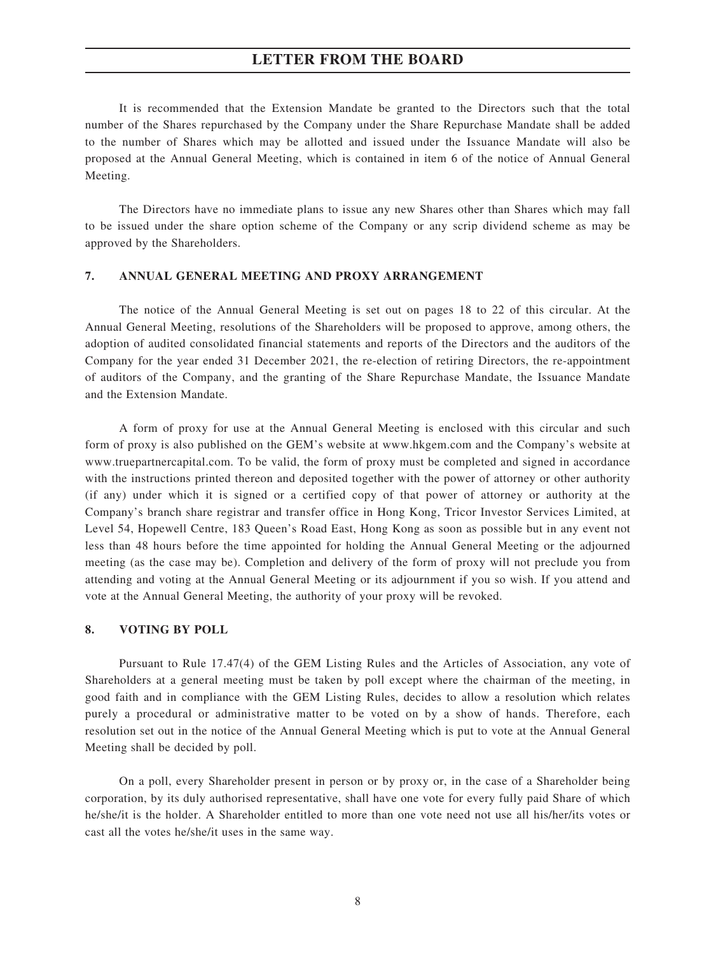It is recommended that the Extension Mandate be granted to the Directors such that the total number of the Shares repurchased by the Company under the Share Repurchase Mandate shall be added to the number of Shares which may be allotted and issued under the Issuance Mandate will also be proposed at the Annual General Meeting, which is contained in item 6 of the notice of Annual General Meeting.

The Directors have no immediate plans to issue any new Shares other than Shares which may fall to be issued under the share option scheme of the Company or any scrip dividend scheme as may be approved by the Shareholders.

### **7. ANNUAL GENERAL MEETING AND PROXY ARRANGEMENT**

The notice of the Annual General Meeting is set out on pages 18 to 22 of this circular. At the Annual General Meeting, resolutions of the Shareholders will be proposed to approve, among others, the adoption of audited consolidated financial statements and reports of the Directors and the auditors of the Company for the year ended 31 December 2021, the re-election of retiring Directors, the re-appointment of auditors of the Company, and the granting of the Share Repurchase Mandate, the Issuance Mandate and the Extension Mandate.

A form of proxy for use at the Annual General Meeting is enclosed with this circular and such form of proxy is also published on the GEM's website at www.hkgem.com and the Company's website at www.truepartnercapital.com. To be valid, the form of proxy must be completed and signed in accordance with the instructions printed thereon and deposited together with the power of attorney or other authority (if any) under which it is signed or a certified copy of that power of attorney or authority at the Company's branch share registrar and transfer office in Hong Kong, Tricor Investor Services Limited, at Level 54, Hopewell Centre, 183 Queen's Road East, Hong Kong as soon as possible but in any event not less than 48 hours before the time appointed for holding the Annual General Meeting or the adjourned meeting (as the case may be). Completion and delivery of the form of proxy will not preclude you from attending and voting at the Annual General Meeting or its adjournment if you so wish. If you attend and vote at the Annual General Meeting, the authority of your proxy will be revoked.

### **8. VOTING BY POLL**

Pursuant to Rule 17.47(4) of the GEM Listing Rules and the Articles of Association, any vote of Shareholders at a general meeting must be taken by poll except where the chairman of the meeting, in good faith and in compliance with the GEM Listing Rules, decides to allow a resolution which relates purely a procedural or administrative matter to be voted on by a show of hands. Therefore, each resolution set out in the notice of the Annual General Meeting which is put to vote at the Annual General Meeting shall be decided by poll.

On a poll, every Shareholder present in person or by proxy or, in the case of a Shareholder being corporation, by its duly authorised representative, shall have one vote for every fully paid Share of which he/she/it is the holder. A Shareholder entitled to more than one vote need not use all his/her/its votes or cast all the votes he/she/it uses in the same way.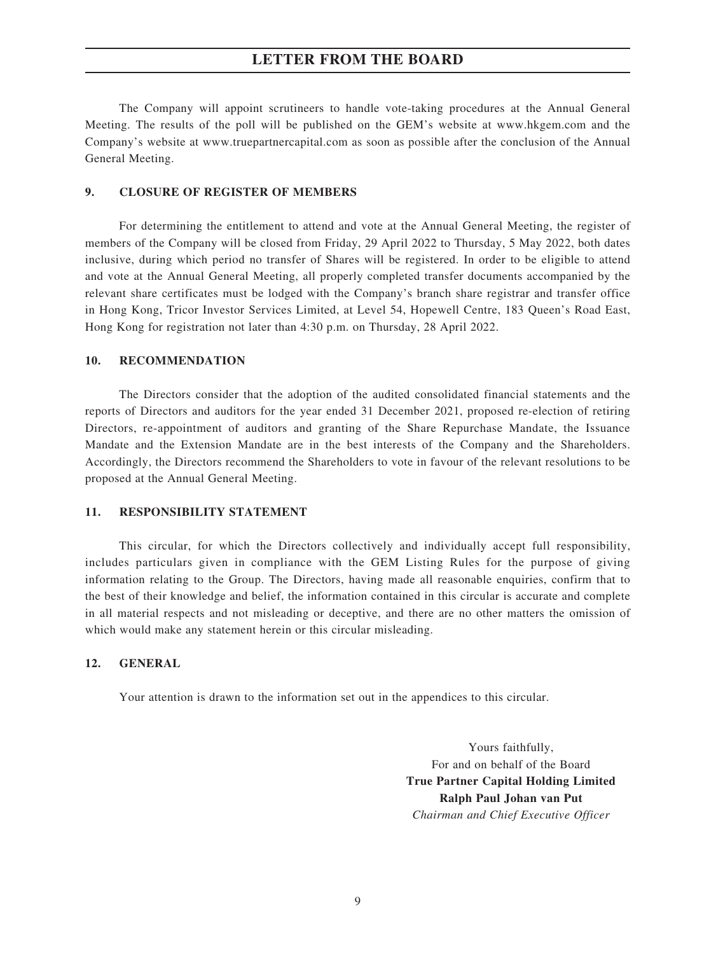The Company will appoint scrutineers to handle vote-taking procedures at the Annual General Meeting. The results of the poll will be published on the GEM's website at www.hkgem.com and the Company's website at www.truepartnercapital.com as soon as possible after the conclusion of the Annual General Meeting.

### **9. CLOSURE OF REGISTER OF MEMBERS**

For determining the entitlement to attend and vote at the Annual General Meeting, the register of members of the Company will be closed from Friday, 29 April 2022 to Thursday, 5 May 2022, both dates inclusive, during which period no transfer of Shares will be registered. In order to be eligible to attend and vote at the Annual General Meeting, all properly completed transfer documents accompanied by the relevant share certificates must be lodged with the Company's branch share registrar and transfer office in Hong Kong, Tricor Investor Services Limited, at Level 54, Hopewell Centre, 183 Queen's Road East, Hong Kong for registration not later than 4:30 p.m. on Thursday, 28 April 2022.

### **10. RECOMMENDATION**

The Directors consider that the adoption of the audited consolidated financial statements and the reports of Directors and auditors for the year ended 31 December 2021, proposed re-election of retiring Directors, re-appointment of auditors and granting of the Share Repurchase Mandate, the Issuance Mandate and the Extension Mandate are in the best interests of the Company and the Shareholders. Accordingly, the Directors recommend the Shareholders to vote in favour of the relevant resolutions to be proposed at the Annual General Meeting.

### **11. RESPONSIBILITY STATEMENT**

This circular, for which the Directors collectively and individually accept full responsibility, includes particulars given in compliance with the GEM Listing Rules for the purpose of giving information relating to the Group. The Directors, having made all reasonable enquiries, confirm that to the best of their knowledge and belief, the information contained in this circular is accurate and complete in all material respects and not misleading or deceptive, and there are no other matters the omission of which would make any statement herein or this circular misleading.

### **12. GENERAL**

Your attention is drawn to the information set out in the appendices to this circular.

Yours faithfully, For and on behalf of the Board **True Partner Capital Holding Limited Ralph Paul Johan van Put** *Chairman and Chief Executive Officer*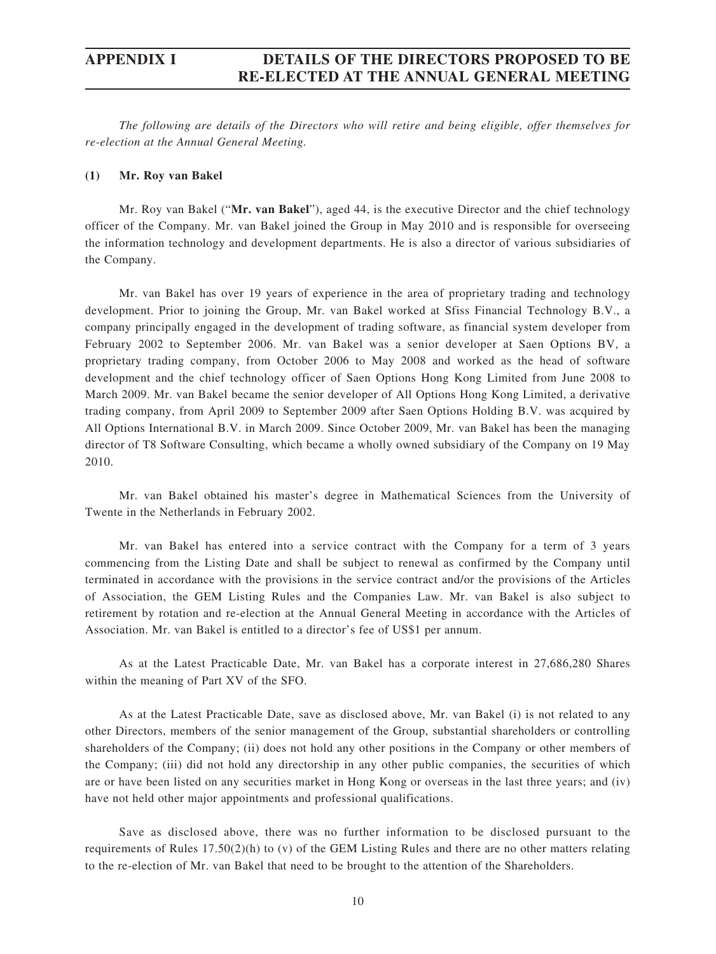*The following are details of the Directors who will retire and being eligible, offer themselves for re-election at the Annual General Meeting.*

### **(1) Mr. Roy van Bakel**

Mr. Roy van Bakel ("**Mr. van Bakel**"), aged 44, is the executive Director and the chief technology officer of the Company. Mr. van Bakel joined the Group in May 2010 and is responsible for overseeing the information technology and development departments. He is also a director of various subsidiaries of the Company.

Mr. van Bakel has over 19 years of experience in the area of proprietary trading and technology development. Prior to joining the Group, Mr. van Bakel worked at Sfiss Financial Technology B.V., a company principally engaged in the development of trading software, as financial system developer from February 2002 to September 2006. Mr. van Bakel was a senior developer at Saen Options BV, a proprietary trading company, from October 2006 to May 2008 and worked as the head of software development and the chief technology officer of Saen Options Hong Kong Limited from June 2008 to March 2009. Mr. van Bakel became the senior developer of All Options Hong Kong Limited, a derivative trading company, from April 2009 to September 2009 after Saen Options Holding B.V. was acquired by All Options International B.V. in March 2009. Since October 2009, Mr. van Bakel has been the managing director of T8 Software Consulting, which became a wholly owned subsidiary of the Company on 19 May 2010.

Mr. van Bakel obtained his master's degree in Mathematical Sciences from the University of Twente in the Netherlands in February 2002.

Mr. van Bakel has entered into a service contract with the Company for a term of 3 years commencing from the Listing Date and shall be subject to renewal as confirmed by the Company until terminated in accordance with the provisions in the service contract and/or the provisions of the Articles of Association, the GEM Listing Rules and the Companies Law. Mr. van Bakel is also subject to retirement by rotation and re-election at the Annual General Meeting in accordance with the Articles of Association. Mr. van Bakel is entitled to a director's fee of US\$1 per annum.

As at the Latest Practicable Date, Mr. van Bakel has a corporate interest in 27,686,280 Shares within the meaning of Part XV of the SFO.

As at the Latest Practicable Date, save as disclosed above, Mr. van Bakel (i) is not related to any other Directors, members of the senior management of the Group, substantial shareholders or controlling shareholders of the Company; (ii) does not hold any other positions in the Company or other members of the Company; (iii) did not hold any directorship in any other public companies, the securities of which are or have been listed on any securities market in Hong Kong or overseas in the last three years; and (iv) have not held other major appointments and professional qualifications.

Save as disclosed above, there was no further information to be disclosed pursuant to the requirements of Rules 17.50(2)(h) to (v) of the GEM Listing Rules and there are no other matters relating to the re-election of Mr. van Bakel that need to be brought to the attention of the Shareholders.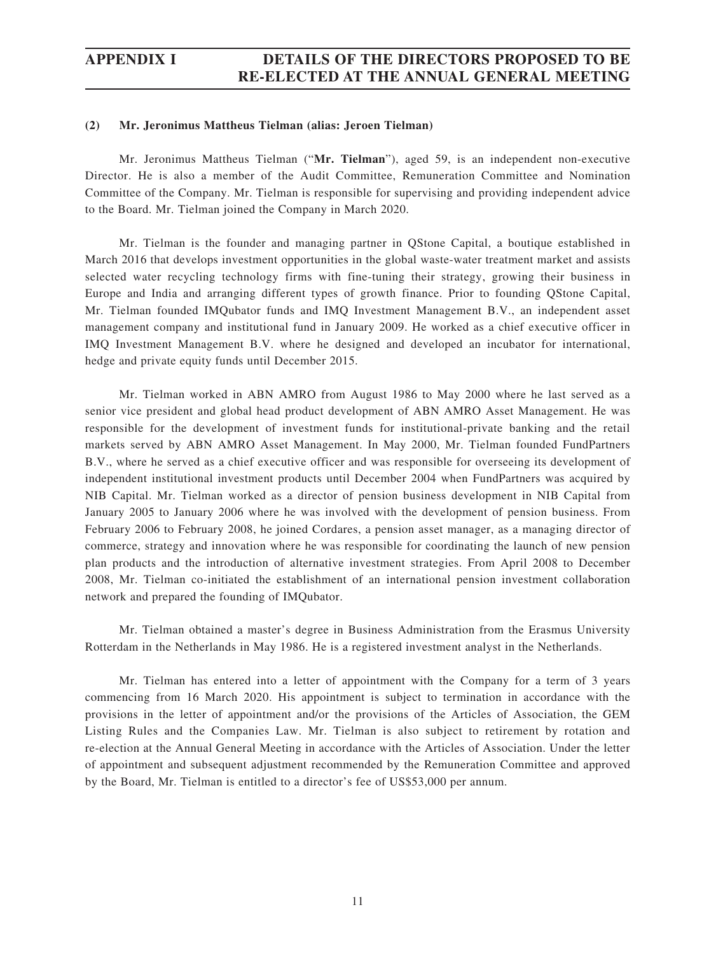### **(2) Mr. Jeronimus Mattheus Tielman (alias: Jeroen Tielman)**

Mr. Jeronimus Mattheus Tielman ("**Mr. Tielman**"), aged 59, is an independent non-executive Director. He is also a member of the Audit Committee, Remuneration Committee and Nomination Committee of the Company. Mr. Tielman is responsible for supervising and providing independent advice to the Board. Mr. Tielman joined the Company in March 2020.

Mr. Tielman is the founder and managing partner in QStone Capital, a boutique established in March 2016 that develops investment opportunities in the global waste-water treatment market and assists selected water recycling technology firms with fine-tuning their strategy, growing their business in Europe and India and arranging different types of growth finance. Prior to founding QStone Capital, Mr. Tielman founded IMQubator funds and IMQ Investment Management B.V., an independent asset management company and institutional fund in January 2009. He worked as a chief executive officer in IMQ Investment Management B.V. where he designed and developed an incubator for international, hedge and private equity funds until December 2015.

Mr. Tielman worked in ABN AMRO from August 1986 to May 2000 where he last served as a senior vice president and global head product development of ABN AMRO Asset Management. He was responsible for the development of investment funds for institutional-private banking and the retail markets served by ABN AMRO Asset Management. In May 2000, Mr. Tielman founded FundPartners B.V., where he served as a chief executive officer and was responsible for overseeing its development of independent institutional investment products until December 2004 when FundPartners was acquired by NIB Capital. Mr. Tielman worked as a director of pension business development in NIB Capital from January 2005 to January 2006 where he was involved with the development of pension business. From February 2006 to February 2008, he joined Cordares, a pension asset manager, as a managing director of commerce, strategy and innovation where he was responsible for coordinating the launch of new pension plan products and the introduction of alternative investment strategies. From April 2008 to December 2008, Mr. Tielman co-initiated the establishment of an international pension investment collaboration network and prepared the founding of IMQubator.

Mr. Tielman obtained a master's degree in Business Administration from the Erasmus University Rotterdam in the Netherlands in May 1986. He is a registered investment analyst in the Netherlands.

Mr. Tielman has entered into a letter of appointment with the Company for a term of 3 years commencing from 16 March 2020. His appointment is subject to termination in accordance with the provisions in the letter of appointment and/or the provisions of the Articles of Association, the GEM Listing Rules and the Companies Law. Mr. Tielman is also subject to retirement by rotation and re-election at the Annual General Meeting in accordance with the Articles of Association. Under the letter of appointment and subsequent adjustment recommended by the Remuneration Committee and approved by the Board, Mr. Tielman is entitled to a director's fee of US\$53,000 per annum.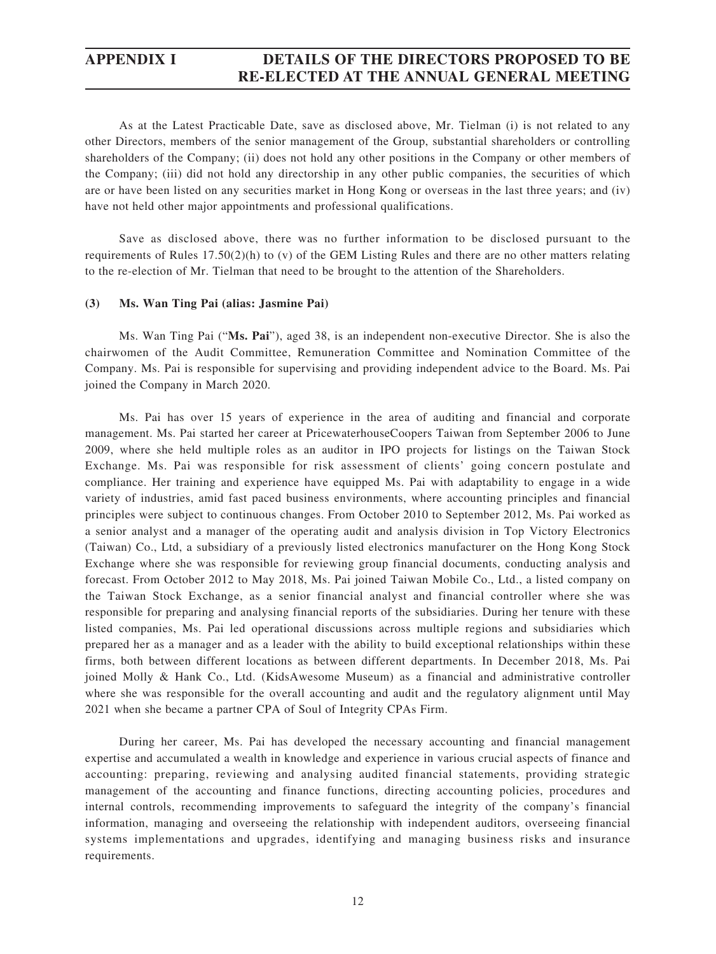As at the Latest Practicable Date, save as disclosed above, Mr. Tielman (i) is not related to any other Directors, members of the senior management of the Group, substantial shareholders or controlling shareholders of the Company; (ii) does not hold any other positions in the Company or other members of the Company; (iii) did not hold any directorship in any other public companies, the securities of which are or have been listed on any securities market in Hong Kong or overseas in the last three years; and (iv) have not held other major appointments and professional qualifications.

Save as disclosed above, there was no further information to be disclosed pursuant to the requirements of Rules 17.50(2)(h) to (v) of the GEM Listing Rules and there are no other matters relating to the re-election of Mr. Tielman that need to be brought to the attention of the Shareholders.

### **(3) Ms. Wan Ting Pai (alias: Jasmine Pai)**

Ms. Wan Ting Pai ("**Ms. Pai**"), aged 38, is an independent non-executive Director. She is also the chairwomen of the Audit Committee, Remuneration Committee and Nomination Committee of the Company. Ms. Pai is responsible for supervising and providing independent advice to the Board. Ms. Pai joined the Company in March 2020.

Ms. Pai has over 15 years of experience in the area of auditing and financial and corporate management. Ms. Pai started her career at PricewaterhouseCoopers Taiwan from September 2006 to June 2009, where she held multiple roles as an auditor in IPO projects for listings on the Taiwan Stock Exchange. Ms. Pai was responsible for risk assessment of clients' going concern postulate and compliance. Her training and experience have equipped Ms. Pai with adaptability to engage in a wide variety of industries, amid fast paced business environments, where accounting principles and financial principles were subject to continuous changes. From October 2010 to September 2012, Ms. Pai worked as a senior analyst and a manager of the operating audit and analysis division in Top Victory Electronics (Taiwan) Co., Ltd, a subsidiary of a previously listed electronics manufacturer on the Hong Kong Stock Exchange where she was responsible for reviewing group financial documents, conducting analysis and forecast. From October 2012 to May 2018, Ms. Pai joined Taiwan Mobile Co., Ltd., a listed company on the Taiwan Stock Exchange, as a senior financial analyst and financial controller where she was responsible for preparing and analysing financial reports of the subsidiaries. During her tenure with these listed companies, Ms. Pai led operational discussions across multiple regions and subsidiaries which prepared her as a manager and as a leader with the ability to build exceptional relationships within these firms, both between different locations as between different departments. In December 2018, Ms. Pai joined Molly & Hank Co., Ltd. (KidsAwesome Museum) as a financial and administrative controller where she was responsible for the overall accounting and audit and the regulatory alignment until May 2021 when she became a partner CPA of Soul of Integrity CPAs Firm.

During her career, Ms. Pai has developed the necessary accounting and financial management expertise and accumulated a wealth in knowledge and experience in various crucial aspects of finance and accounting: preparing, reviewing and analysing audited financial statements, providing strategic management of the accounting and finance functions, directing accounting policies, procedures and internal controls, recommending improvements to safeguard the integrity of the company's financial information, managing and overseeing the relationship with independent auditors, overseeing financial systems implementations and upgrades, identifying and managing business risks and insurance requirements.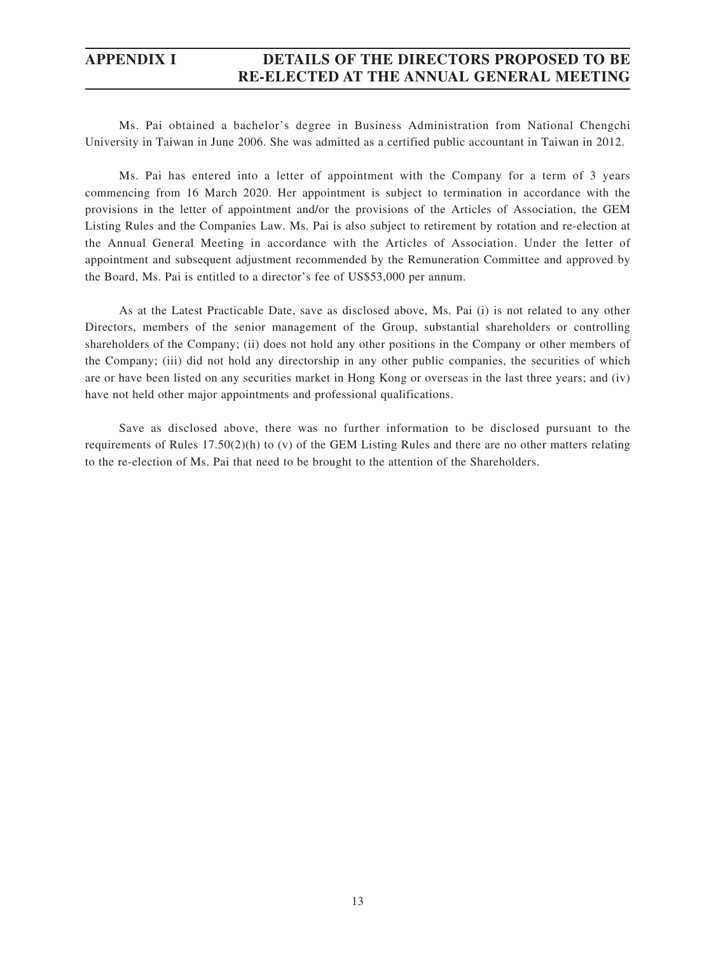Ms. Pai obtained a bachelor's degree in Business Administration from National Chengchi University in Taiwan in June 2006. She was admitted as a certified public accountant in Taiwan in 2012.

Ms. Pai has entered into a letter of appointment with the Company for a term of 3 years commencing from 16 March 2020. Her appointment is subject to termination in accordance with the provisions in the letter of appointment and/or the provisions of the Articles of Association, the GEM Listing Rules and the Companies Law. Ms. Pai is also subject to retirement by rotation and re-election at the Annual General Meeting in accordance with the Articles of Association. Under the letter of appointment and subsequent adjustment recommended by the Remuneration Committee and approved by the Board, Ms. Pai is entitled to a director's fee of US\$53,000 per annum.

As at the Latest Practicable Date, save as disclosed above, Ms. Pai (i) is not related to any other Directors, members of the senior management of the Group, substantial shareholders or controlling shareholders of the Company; (ii) does not hold any other positions in the Company or other members of the Company; (iii) did not hold any directorship in any other public companies, the securities of which are or have been listed on any securities market in Hong Kong or overseas in the last three years; and (iv) have not held other major appointments and professional qualifications.

Save as disclosed above, there was no further information to be disclosed pursuant to the requirements of Rules 17.50(2)(h) to (v) of the GEM Listing Rules and there are no other matters relating to the re-election of Ms. Pai that need to be brought to the attention of the Shareholders.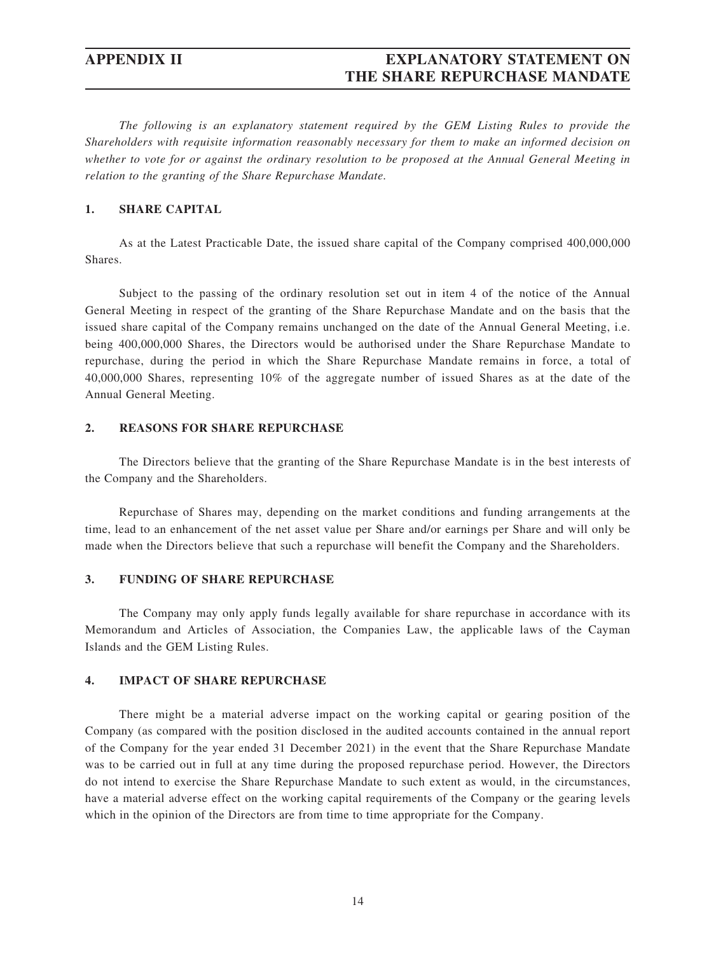## **APPENDIX II EXPLANATORY STATEMENT ON THE SHARE REPURCHASE MANDATE**

*The following is an explanatory statement required by the GEM Listing Rules to provide the Shareholders with requisite information reasonably necessary for them to make an informed decision on whether to vote for or against the ordinary resolution to be proposed at the Annual General Meeting in relation to the granting of the Share Repurchase Mandate.*

### **1. SHARE CAPITAL**

As at the Latest Practicable Date, the issued share capital of the Company comprised 400,000,000 Shares.

Subject to the passing of the ordinary resolution set out in item 4 of the notice of the Annual General Meeting in respect of the granting of the Share Repurchase Mandate and on the basis that the issued share capital of the Company remains unchanged on the date of the Annual General Meeting, i.e. being 400,000,000 Shares, the Directors would be authorised under the Share Repurchase Mandate to repurchase, during the period in which the Share Repurchase Mandate remains in force, a total of 40,000,000 Shares, representing 10% of the aggregate number of issued Shares as at the date of the Annual General Meeting.

### **2. REASONS FOR SHARE REPURCHASE**

The Directors believe that the granting of the Share Repurchase Mandate is in the best interests of the Company and the Shareholders.

Repurchase of Shares may, depending on the market conditions and funding arrangements at the time, lead to an enhancement of the net asset value per Share and/or earnings per Share and will only be made when the Directors believe that such a repurchase will benefit the Company and the Shareholders.

### **3. FUNDING OF SHARE REPURCHASE**

The Company may only apply funds legally available for share repurchase in accordance with its Memorandum and Articles of Association, the Companies Law, the applicable laws of the Cayman Islands and the GEM Listing Rules.

### **4. IMPACT OF SHARE REPURCHASE**

There might be a material adverse impact on the working capital or gearing position of the Company (as compared with the position disclosed in the audited accounts contained in the annual report of the Company for the year ended 31 December 2021) in the event that the Share Repurchase Mandate was to be carried out in full at any time during the proposed repurchase period. However, the Directors do not intend to exercise the Share Repurchase Mandate to such extent as would, in the circumstances, have a material adverse effect on the working capital requirements of the Company or the gearing levels which in the opinion of the Directors are from time to time appropriate for the Company.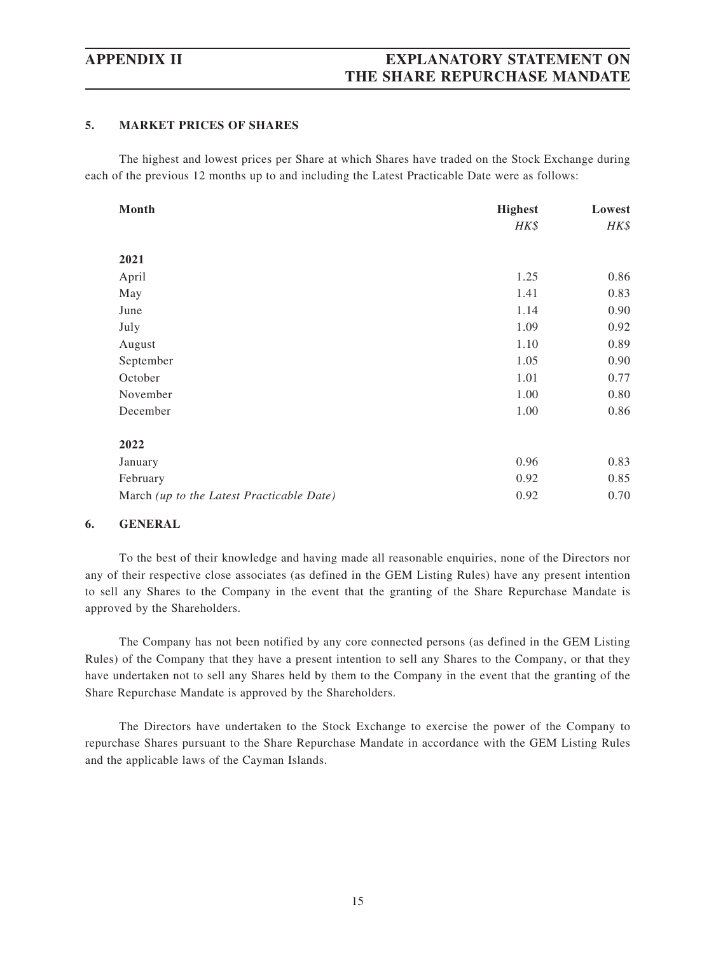## **APPENDIX II EXPLANATORY STATEMENT ON THE SHARE REPURCHASE MANDATE**

### **5. MARKET PRICES OF SHARES**

The highest and lowest prices per Share at which Shares have traded on the Stock Exchange during each of the previous 12 months up to and including the Latest Practicable Date were as follows:

| <b>Month</b>                              | <b>Highest</b> | Lowest |
|-------------------------------------------|----------------|--------|
|                                           | HK\$           | HK\$   |
| 2021                                      |                |        |
|                                           |                |        |
| April                                     | 1.25           | 0.86   |
| May                                       | 1.41           | 0.83   |
| June                                      | 1.14           | 0.90   |
| July                                      | 1.09           | 0.92   |
| August                                    | 1.10           | 0.89   |
| September                                 | 1.05           | 0.90   |
| October                                   | 1.01           | 0.77   |
| November                                  | 1.00           | 0.80   |
| December                                  | 1.00           | 0.86   |
| 2022                                      |                |        |
| January                                   | 0.96           | 0.83   |
| February                                  | 0.92           | 0.85   |
| March (up to the Latest Practicable Date) | 0.92           | 0.70   |

### **6. GENERAL**

To the best of their knowledge and having made all reasonable enquiries, none of the Directors nor any of their respective close associates (as defined in the GEM Listing Rules) have any present intention to sell any Shares to the Company in the event that the granting of the Share Repurchase Mandate is approved by the Shareholders.

The Company has not been notified by any core connected persons (as defined in the GEM Listing Rules) of the Company that they have a present intention to sell any Shares to the Company, or that they have undertaken not to sell any Shares held by them to the Company in the event that the granting of the Share Repurchase Mandate is approved by the Shareholders.

The Directors have undertaken to the Stock Exchange to exercise the power of the Company to repurchase Shares pursuant to the Share Repurchase Mandate in accordance with the GEM Listing Rules and the applicable laws of the Cayman Islands.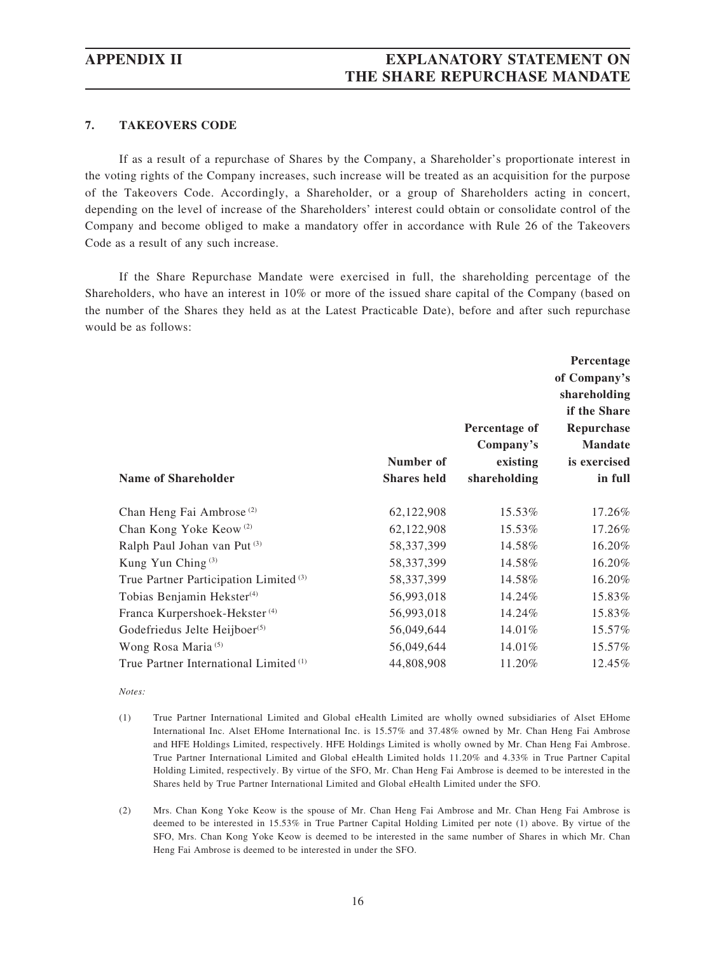## **APPENDIX II EXPLANATORY STATEMENT ON THE SHARE REPURCHASE MANDATE**

### **7. TAKEOVERS CODE**

If as a result of a repurchase of Shares by the Company, a Shareholder's proportionate interest in the voting rights of the Company increases, such increase will be treated as an acquisition for the purpose of the Takeovers Code. Accordingly, a Shareholder, or a group of Shareholders acting in concert, depending on the level of increase of the Shareholders' interest could obtain or consolidate control of the Company and become obliged to make a mandatory offer in accordance with Rule 26 of the Takeovers Code as a result of any such increase.

If the Share Repurchase Mandate were exercised in full, the shareholding percentage of the Shareholders, who have an interest in 10% or more of the issued share capital of the Company (based on the number of the Shares they held as at the Latest Practicable Date), before and after such repurchase would be as follows:

| <b>Name of Shareholder</b>                        | Number of<br><b>Shares</b> held | Percentage of<br>Company's<br>existing<br>shareholding | Percentage<br>of Company's<br>shareholding<br>if the Share<br>Repurchase<br><b>Mandate</b><br>is exercised<br>in full |
|---------------------------------------------------|---------------------------------|--------------------------------------------------------|-----------------------------------------------------------------------------------------------------------------------|
| Chan Heng Fai Ambrose <sup>(2)</sup>              | 62,122,908                      | 15.53%                                                 | 17.26%                                                                                                                |
| Chan Kong Yoke Keow <sup>(2)</sup>                | 62,122,908                      | 15.53%                                                 | 17.26%                                                                                                                |
| Ralph Paul Johan van Put <sup>(3)</sup>           | 58, 337, 399                    | 14.58%                                                 | 16.20%                                                                                                                |
| Kung Yun Ching $(3)$                              | 58, 337, 399                    | 14.58%                                                 | 16.20%                                                                                                                |
| True Partner Participation Limited <sup>(3)</sup> | 58, 337, 399                    | 14.58%                                                 | 16.20%                                                                                                                |
| Tobias Benjamin Hekster <sup>(4)</sup>            | 56,993,018                      | 14.24%                                                 | 15.83%                                                                                                                |
| Franca Kurpershoek-Hekster <sup>(4)</sup>         | 56,993,018                      | 14.24%                                                 | 15.83%                                                                                                                |
| Godefriedus Jelte Heijboer <sup>(5)</sup>         | 56,049,644                      | 14.01%                                                 | 15.57%                                                                                                                |
| Wong Rosa Maria <sup>(5)</sup>                    | 56,049,644                      | 14.01%                                                 | 15.57%                                                                                                                |
| True Partner International Limited <sup>(1)</sup> | 44,808,908                      | 11.20%                                                 | 12.45%                                                                                                                |

### *Notes:*

- (1) True Partner International Limited and Global eHealth Limited are wholly owned subsidiaries of Alset EHome International Inc. Alset EHome International Inc. is 15.57% and 37.48% owned by Mr. Chan Heng Fai Ambrose and HFE Holdings Limited, respectively. HFE Holdings Limited is wholly owned by Mr. Chan Heng Fai Ambrose. True Partner International Limited and Global eHealth Limited holds 11.20% and 4.33% in True Partner Capital Holding Limited, respectively. By virtue of the SFO, Mr. Chan Heng Fai Ambrose is deemed to be interested in the Shares held by True Partner International Limited and Global eHealth Limited under the SFO.
- (2) Mrs. Chan Kong Yoke Keow is the spouse of Mr. Chan Heng Fai Ambrose and Mr. Chan Heng Fai Ambrose is deemed to be interested in 15.53% in True Partner Capital Holding Limited per note (1) above. By virtue of the SFO, Mrs. Chan Kong Yoke Keow is deemed to be interested in the same number of Shares in which Mr. Chan Heng Fai Ambrose is deemed to be interested in under the SFO.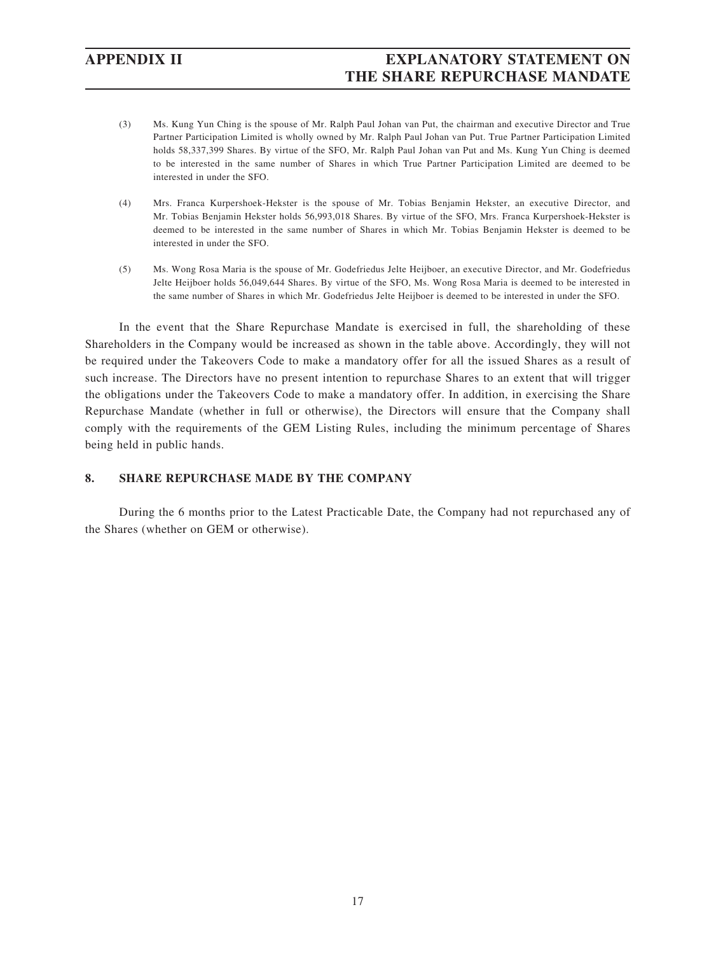- (3) Ms. Kung Yun Ching is the spouse of Mr. Ralph Paul Johan van Put, the chairman and executive Director and True Partner Participation Limited is wholly owned by Mr. Ralph Paul Johan van Put. True Partner Participation Limited holds 58,337,399 Shares. By virtue of the SFO, Mr. Ralph Paul Johan van Put and Ms. Kung Yun Ching is deemed to be interested in the same number of Shares in which True Partner Participation Limited are deemed to be interested in under the SFO.
- (4) Mrs. Franca Kurpershoek-Hekster is the spouse of Mr. Tobias Benjamin Hekster, an executive Director, and Mr. Tobias Benjamin Hekster holds 56,993,018 Shares. By virtue of the SFO, Mrs. Franca Kurpershoek-Hekster is deemed to be interested in the same number of Shares in which Mr. Tobias Benjamin Hekster is deemed to be interested in under the SFO.
- (5) Ms. Wong Rosa Maria is the spouse of Mr. Godefriedus Jelte Heijboer, an executive Director, and Mr. Godefriedus Jelte Heijboer holds 56,049,644 Shares. By virtue of the SFO, Ms. Wong Rosa Maria is deemed to be interested in the same number of Shares in which Mr. Godefriedus Jelte Heijboer is deemed to be interested in under the SFO.

In the event that the Share Repurchase Mandate is exercised in full, the shareholding of these Shareholders in the Company would be increased as shown in the table above. Accordingly, they will not be required under the Takeovers Code to make a mandatory offer for all the issued Shares as a result of such increase. The Directors have no present intention to repurchase Shares to an extent that will trigger the obligations under the Takeovers Code to make a mandatory offer. In addition, in exercising the Share Repurchase Mandate (whether in full or otherwise), the Directors will ensure that the Company shall comply with the requirements of the GEM Listing Rules, including the minimum percentage of Shares being held in public hands.

### **8. SHARE REPURCHASE MADE BY THE COMPANY**

During the 6 months prior to the Latest Practicable Date, the Company had not repurchased any of the Shares (whether on GEM or otherwise).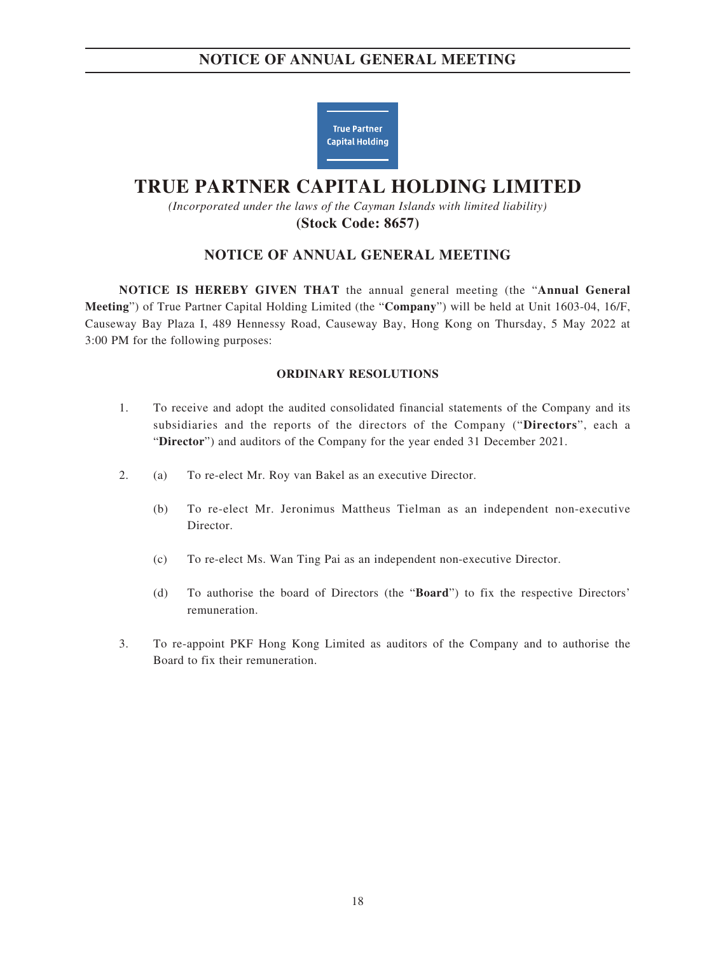

# **TRUE PARTNER CAPITAL HOLDING LIMITED**

*(Incorporated under the laws of the Cayman Islands with limited liability)* **(Stock Code: 8657)**

## **NOTICE OF ANNUAL GENERAL MEETING**

**NOTICE IS HEREBY GIVEN THAT** the annual general meeting (the "**Annual General Meeting**") of True Partner Capital Holding Limited (the "**Company**") will be held at Unit 1603-04, 16/F, Causeway Bay Plaza I, 489 Hennessy Road, Causeway Bay, Hong Kong on Thursday, 5 May 2022 at 3:00 PM for the following purposes:

### **ORDINARY RESOLUTIONS**

- 1. To receive and adopt the audited consolidated financial statements of the Company and its subsidiaries and the reports of the directors of the Company ("**Directors**", each a "**Director**") and auditors of the Company for the year ended 31 December 2021.
- 2. (a) To re-elect Mr. Roy van Bakel as an executive Director.
	- (b) To re-elect Mr. Jeronimus Mattheus Tielman as an independent non-executive Director.
	- (c) To re-elect Ms. Wan Ting Pai as an independent non-executive Director.
	- (d) To authorise the board of Directors (the "**Board**") to fix the respective Directors' remuneration.
- 3. To re-appoint PKF Hong Kong Limited as auditors of the Company and to authorise the Board to fix their remuneration.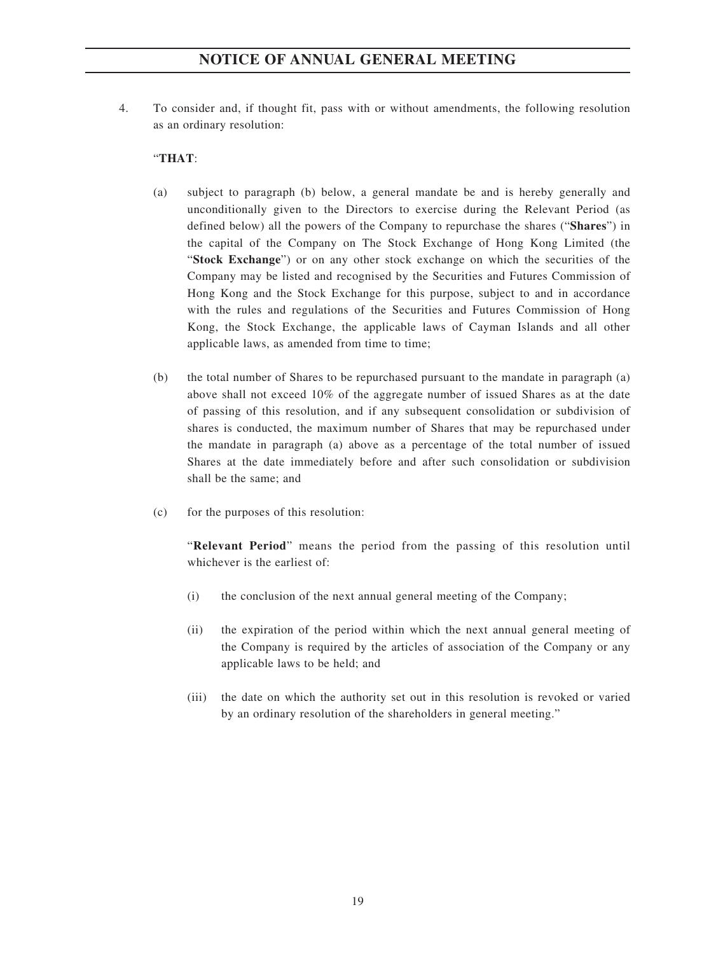4. To consider and, if thought fit, pass with or without amendments, the following resolution as an ordinary resolution:

### "**THAT**:

- (a) subject to paragraph (b) below, a general mandate be and is hereby generally and unconditionally given to the Directors to exercise during the Relevant Period (as defined below) all the powers of the Company to repurchase the shares ("**Shares**") in the capital of the Company on The Stock Exchange of Hong Kong Limited (the "**Stock Exchange**") or on any other stock exchange on which the securities of the Company may be listed and recognised by the Securities and Futures Commission of Hong Kong and the Stock Exchange for this purpose, subject to and in accordance with the rules and regulations of the Securities and Futures Commission of Hong Kong, the Stock Exchange, the applicable laws of Cayman Islands and all other applicable laws, as amended from time to time;
- (b) the total number of Shares to be repurchased pursuant to the mandate in paragraph (a) above shall not exceed 10% of the aggregate number of issued Shares as at the date of passing of this resolution, and if any subsequent consolidation or subdivision of shares is conducted, the maximum number of Shares that may be repurchased under the mandate in paragraph (a) above as a percentage of the total number of issued Shares at the date immediately before and after such consolidation or subdivision shall be the same; and
- (c) for the purposes of this resolution:

"**Relevant Period**" means the period from the passing of this resolution until whichever is the earliest of:

- (i) the conclusion of the next annual general meeting of the Company;
- (ii) the expiration of the period within which the next annual general meeting of the Company is required by the articles of association of the Company or any applicable laws to be held; and
- (iii) the date on which the authority set out in this resolution is revoked or varied by an ordinary resolution of the shareholders in general meeting."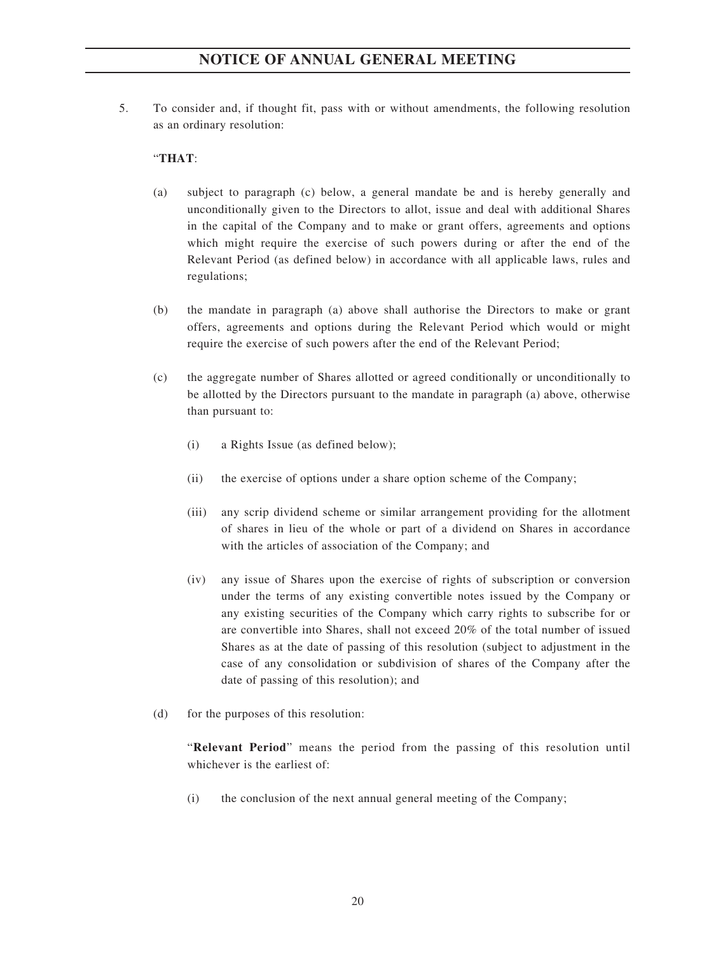5. To consider and, if thought fit, pass with or without amendments, the following resolution as an ordinary resolution:

### "**THAT**:

- (a) subject to paragraph (c) below, a general mandate be and is hereby generally and unconditionally given to the Directors to allot, issue and deal with additional Shares in the capital of the Company and to make or grant offers, agreements and options which might require the exercise of such powers during or after the end of the Relevant Period (as defined below) in accordance with all applicable laws, rules and regulations;
- (b) the mandate in paragraph (a) above shall authorise the Directors to make or grant offers, agreements and options during the Relevant Period which would or might require the exercise of such powers after the end of the Relevant Period;
- (c) the aggregate number of Shares allotted or agreed conditionally or unconditionally to be allotted by the Directors pursuant to the mandate in paragraph (a) above, otherwise than pursuant to:
	- (i) a Rights Issue (as defined below);
	- (ii) the exercise of options under a share option scheme of the Company;
	- (iii) any scrip dividend scheme or similar arrangement providing for the allotment of shares in lieu of the whole or part of a dividend on Shares in accordance with the articles of association of the Company; and
	- (iv) any issue of Shares upon the exercise of rights of subscription or conversion under the terms of any existing convertible notes issued by the Company or any existing securities of the Company which carry rights to subscribe for or are convertible into Shares, shall not exceed 20% of the total number of issued Shares as at the date of passing of this resolution (subject to adjustment in the case of any consolidation or subdivision of shares of the Company after the date of passing of this resolution); and
- (d) for the purposes of this resolution:

"**Relevant Period**" means the period from the passing of this resolution until whichever is the earliest of:

(i) the conclusion of the next annual general meeting of the Company;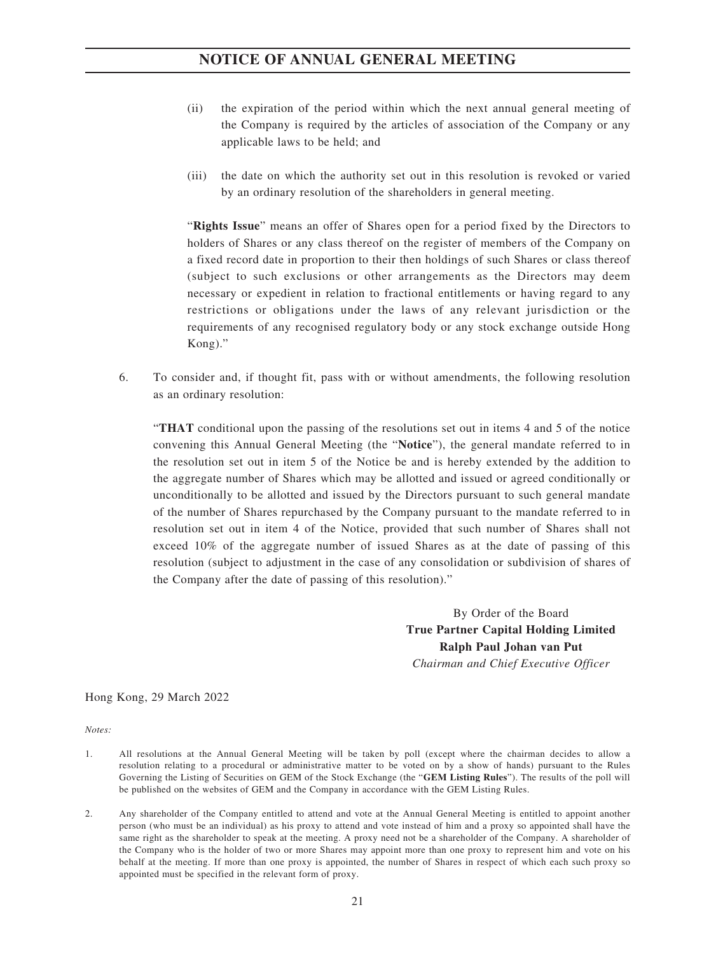- (ii) the expiration of the period within which the next annual general meeting of the Company is required by the articles of association of the Company or any applicable laws to be held; and
- (iii) the date on which the authority set out in this resolution is revoked or varied by an ordinary resolution of the shareholders in general meeting.

"**Rights Issue**" means an offer of Shares open for a period fixed by the Directors to holders of Shares or any class thereof on the register of members of the Company on a fixed record date in proportion to their then holdings of such Shares or class thereof (subject to such exclusions or other arrangements as the Directors may deem necessary or expedient in relation to fractional entitlements or having regard to any restrictions or obligations under the laws of any relevant jurisdiction or the requirements of any recognised regulatory body or any stock exchange outside Hong Kong)."

6. To consider and, if thought fit, pass with or without amendments, the following resolution as an ordinary resolution:

"**THAT** conditional upon the passing of the resolutions set out in items 4 and 5 of the notice convening this Annual General Meeting (the "**Notice**"), the general mandate referred to in the resolution set out in item 5 of the Notice be and is hereby extended by the addition to the aggregate number of Shares which may be allotted and issued or agreed conditionally or unconditionally to be allotted and issued by the Directors pursuant to such general mandate of the number of Shares repurchased by the Company pursuant to the mandate referred to in resolution set out in item 4 of the Notice, provided that such number of Shares shall not exceed 10% of the aggregate number of issued Shares as at the date of passing of this resolution (subject to adjustment in the case of any consolidation or subdivision of shares of the Company after the date of passing of this resolution)."

> By Order of the Board **True Partner Capital Holding Limited Ralph Paul Johan van Put** *Chairman and Chief Executive Officer*

Hong Kong, 29 March 2022

*Notes:*

- 1. All resolutions at the Annual General Meeting will be taken by poll (except where the chairman decides to allow a resolution relating to a procedural or administrative matter to be voted on by a show of hands) pursuant to the Rules Governing the Listing of Securities on GEM of the Stock Exchange (the "**GEM Listing Rules**"). The results of the poll will be published on the websites of GEM and the Company in accordance with the GEM Listing Rules.
- 2. Any shareholder of the Company entitled to attend and vote at the Annual General Meeting is entitled to appoint another person (who must be an individual) as his proxy to attend and vote instead of him and a proxy so appointed shall have the same right as the shareholder to speak at the meeting. A proxy need not be a shareholder of the Company. A shareholder of the Company who is the holder of two or more Shares may appoint more than one proxy to represent him and vote on his behalf at the meeting. If more than one proxy is appointed, the number of Shares in respect of which each such proxy so appointed must be specified in the relevant form of proxy.